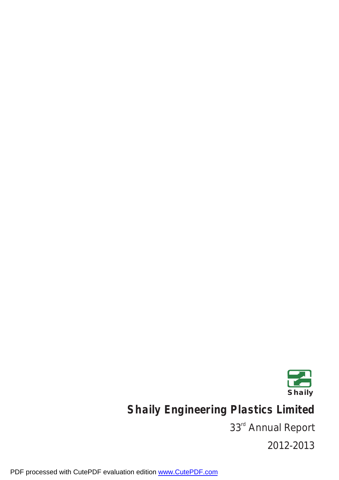

**Shaily Engineering Plastics Limited**

33<sup>rd</sup> Annual Report

2012-2013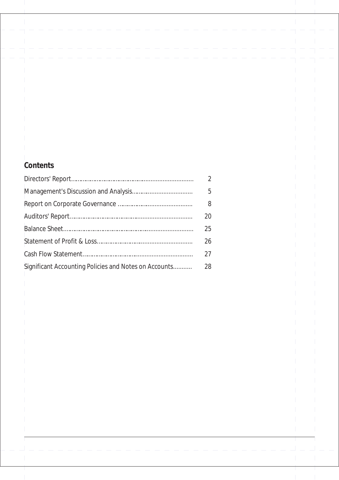| Contents |                                                       |                |  |
|----------|-------------------------------------------------------|----------------|--|
|          |                                                       | $\overline{2}$ |  |
|          |                                                       | 5              |  |
|          |                                                       | 8              |  |
|          |                                                       | 20             |  |
|          |                                                       | 25             |  |
|          |                                                       | 26             |  |
|          |                                                       | 27             |  |
|          | Significant Accounting Policies and Notes on Accounts | 28             |  |
|          |                                                       |                |  |
|          |                                                       |                |  |
|          |                                                       |                |  |
|          |                                                       |                |  |
|          |                                                       |                |  |
|          |                                                       |                |  |
|          |                                                       |                |  |
|          |                                                       |                |  |
|          |                                                       |                |  |
|          |                                                       |                |  |
|          |                                                       |                |  |
|          |                                                       |                |  |
|          |                                                       |                |  |

 $\mathbb T$ 

 $\bar{\bar{1}}$ 

 $\mathbb{R}^2$ 

⊺  $\overline{\phantom{a}}$   $\mathbf{I}$ 

 $\overline{\phantom{a}}$ 

 $\mathcal I$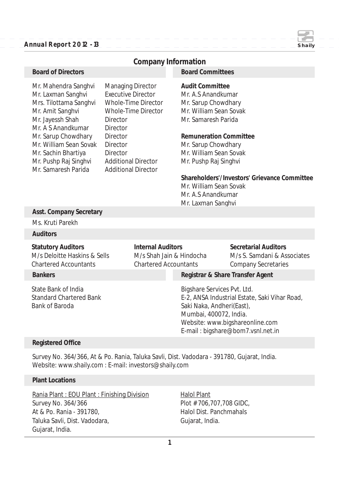#### **Annual Report 2012 - 13 Shaily**

|                                                                                                                                                                                                                                                                                                                                                                                                                                                                                                                              |  | Company Information                                                                  |                                                                                                                                                                                                                                                                                                                                 |                                                                                                                       |
|------------------------------------------------------------------------------------------------------------------------------------------------------------------------------------------------------------------------------------------------------------------------------------------------------------------------------------------------------------------------------------------------------------------------------------------------------------------------------------------------------------------------------|--|--------------------------------------------------------------------------------------|---------------------------------------------------------------------------------------------------------------------------------------------------------------------------------------------------------------------------------------------------------------------------------------------------------------------------------|-----------------------------------------------------------------------------------------------------------------------|
| <b>Board of Directors</b>                                                                                                                                                                                                                                                                                                                                                                                                                                                                                                    |  |                                                                                      | <b>Board Committees</b>                                                                                                                                                                                                                                                                                                         |                                                                                                                       |
| Mr. Mahendra Sanghvi<br><b>Managing Director</b><br><b>Executive Director</b><br>Mr. Laxman Sanghvi<br>Whole-Time Director<br>Mrs. Tilottama Sanghvi<br>Mr. Amit Sanghvi<br>Whole-Time Director<br>Mr. Jayessh Shah<br><b>Director</b><br>Mr. A S Anandkumar<br><b>Director</b><br>Mr. Sarup Chowdhary<br><b>Director</b><br>Mr. William Sean Sovak<br><b>Director</b><br>Mr. Sachin Bhartiya<br><b>Director</b><br>Mr. Pushp Raj Singhvi<br><b>Additional Director</b><br>Mr. Samaresh Parida<br><b>Additional Director</b> |  |                                                                                      | <b>Audit Committee</b><br>Mr. A.S Anandkumar<br>Mr. Sarup Chowdhary<br>Mr. William Sean Sovak<br>Mr. Samaresh Parida<br><b>Remuneration Committee</b><br>Mr. Sarup Chowdhary<br>Mr. William Sean Sovak<br>Mr. Pushp Raj Singhvi<br>Shareholders'/Investors' Grievance Committee<br>Mr. William Sean Sovak<br>Mr. A.S Anandkumar |                                                                                                                       |
| Asst. Company Secretary                                                                                                                                                                                                                                                                                                                                                                                                                                                                                                      |  |                                                                                      | Mr. Laxman Sanghvi                                                                                                                                                                                                                                                                                                              |                                                                                                                       |
| Ms. Kruti Parekh                                                                                                                                                                                                                                                                                                                                                                                                                                                                                                             |  |                                                                                      |                                                                                                                                                                                                                                                                                                                                 |                                                                                                                       |
| <b>Auditors</b>                                                                                                                                                                                                                                                                                                                                                                                                                                                                                                              |  |                                                                                      |                                                                                                                                                                                                                                                                                                                                 |                                                                                                                       |
| <b>Statutory Auditors</b><br>M/s Deloitte Haskins & Sells<br><b>Chartered Accountants</b>                                                                                                                                                                                                                                                                                                                                                                                                                                    |  | <b>Internal Auditors</b><br>M/s Shah Jain & Hindocha<br><b>Chartered Accountants</b> |                                                                                                                                                                                                                                                                                                                                 | <b>Secretarial Auditors</b><br>M/s S. Samdani & Associates<br><b>Company Secretaries</b>                              |
| <b>Bankers</b>                                                                                                                                                                                                                                                                                                                                                                                                                                                                                                               |  |                                                                                      | Registrar & Share Transfer Agent                                                                                                                                                                                                                                                                                                |                                                                                                                       |
| <b>State Bank of India</b><br><b>Standard Chartered Bank</b><br><b>Bank of Baroda</b>                                                                                                                                                                                                                                                                                                                                                                                                                                        |  |                                                                                      | Bigshare Services Pvt. Ltd.<br>Saki Naka, Andheri(East),<br>Mumbai, 400072, India.                                                                                                                                                                                                                                              | E-2, ANSA Industrial Estate, Saki Vihar Road,<br>Website: www.bigshareonline.com<br>E-mail: bigshare@bom7.vsnl.net.in |

#### **Registered Office**

Survey No. 364/366, At & Po. Rania, Taluka Savli, Dist. Vadodara - 391780, Gujarat, India. Website: www.shaily.com : E-mail: investors@shaily.com

#### **Plant Locations**

Rania Plant : EOU Plant : Finishing Division Halol Plant Survey No. 364/366 Plot # 706,707,708 GIDC, At & Po. Rania - 391780, At & Po. Rania - 391780, Taluka Savli, Dist. Vadodara, eta aliarratu eta Gujarat, India. Gujarat, India.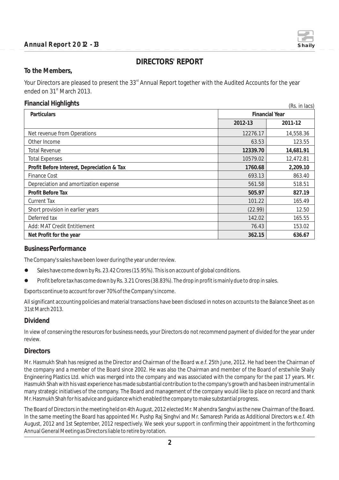

 $(D_2, \ldots, D_{n-1})$ 

## **DIRECTORS' REPORT**

**To the Members,**

Your Directors are pleased to present the 33<sup>rd</sup> Annual Report together with the Audited Accounts for the year ended on 31<sup>st</sup> March 2013.

#### **Financial Highlights**

| Particulars                                | <b>Financial Year</b> |           |
|--------------------------------------------|-----------------------|-----------|
|                                            | 2012-13               | 2011-12   |
| Net revenue from Operations                | 12276.17              | 14,558.36 |
| Other Income                               | 63.53                 | 123.55    |
| <b>Total Revenue</b>                       | 12339.70              | 14,681.91 |
| <b>Total Expenses</b>                      | 10579.02              | 12,472.81 |
| Profit Before Interest, Depreciation & Tax | 1760.68               | 2,209.10  |
| <b>Finance Cost</b>                        | 693.13                | 863.40    |
| Depreciation and amortization expense      | 561.58                | 518.51    |
| Profit Before Tax                          | 505.97                | 827.19    |
| <b>Current Tax</b>                         | 101.22                | 165.49    |
| Short provision in earlier years           | (22.99)               | 12.50     |
| Deferred tax                               | 142.02                | 165.55    |
| Add: MAT Credit Entitlement                | 76.43                 | 153.02    |
| Net Profit for the year                    | 362.15                | 636.67    |

#### **Business Performance**

The Company's sales have been lower during the year under review.

- Sales have come down by Rs. 23.42 Crores (15.95%). This is on account of global conditions.
- **•** Profit before tax has come down by Rs. 3.21 Crores (38.83%). The drop in profit is mainly due to drop in sales.

Exports continue to account for over 70% of the Company's income.

All significant accounting policies and material transactions have been disclosed in notes on accounts to the Balance Sheet as on 31st March 2013.

#### **Dividend**

In view of conserving the resources for business needs, your Directors do not recommend payment of divided for the year under review.

#### **Directors**

Mr. Hasmukh Shah has resigned as the Director and Chairman of the Board w.e.f. 25th June, 2012. He had been the Chairman of the company and a member of the Board since 2002. He was also the Chairman and member of the Board of erstwhile Shaily Engineering Plastics Ltd. which was merged into the company and was associated with the company for the past 17 years. Mr. Hasmukh Shah with his vast experience has made substantial contribution to the company's growth and has been instrumental in many strategic initiatives of the company. The Board and management of the company would like to place on record and thank Mr. Hasmukh Shah for his advice and guidance which enabled the company to make substantial progress.

The Board of Directors in the meeting held on 4th August, 2012 elected Mr. Mahendra Sanghvi as the new Chairman of the Board. In the same meeting the Board has appointed Mr. Pushp Raj Singhvi and Mr. Samaresh Parida as Additional Directors w.e.f. 4th August, 2012 and 1st September, 2012 respectively. We seek your support in confirming their appointment in the forthcoming Annual General Meeting as Directors liable to retire by rotation.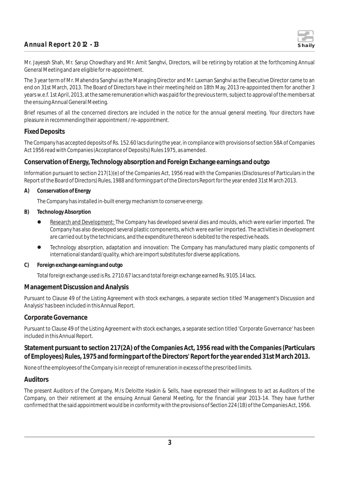

Mr. Jayessh Shah, Mr. Sarup Chowdhary and Mr. Amit Sanghvi, Directors, will be retiring by rotation at the forthcoming Annual General Meeting and are eligible for re-appointment.

The 3 year term of Mr. Mahendra Sanghvi as the Managing Director and Mr. Laxman Sanghvi as the Executive Director came to an end on 31st March, 2013. The Board of Directors have in their meeting held on 18th May, 2013 re-appointed them for another 3 years w.e.f. 1st April, 2013, at the same remuneration which was paid for the previous term, subject to approval of the members at the ensuing Annual General Meeting.

Brief resumes of all the concerned directors are included in the notice for the annual general meeting. Your directors have pleasure in recommending their appointment / re-appointment.

#### **Fixed Deposits**

The Company has accepted deposits of Rs. 152.60 lacs during the year, in compliance with provisions of section 58A of Companies Act 1956 read with Companies (Acceptance of Deposits) Rules 1975, as amended.

#### **Conservation of Energy, Technology absorption and Foreign Exchange earnings and outgo**

Information pursuant to section 217(1)(e) of the Companies Act, 1956 read with the Companies (Disclosures of Particulars in the Report of the Board of Directors) Rules, 1988 and forming part of the Directors Report for the year ended 31st March 2013.

**A) Conservation of Energy**

The Company has installed in-built energy mechanism to conserve energy.

- **B) Technology Absorption**
	- **Research and Development:** The Company has developed several dies and moulds, which were earlier imported. The Company has also developed several plastic components, which were earlier imported. The activities in development are carried out by the technicians, and the expenditure thereon is debited to the respective heads.
	- Technology absorption, adaptation and innovation: The Company has manufactured many plastic components of international standard/quality, which are import substitutes for diverse applications.
- **C) Foreign exchange earnings and outgo**

Total foreign exchange used is Rs. 2710.67 lacs and total foreign exchange earned Rs. 9105.14 lacs.

#### **Management Discussion and Analysis**

Pursuant to Clause 49 of the Listing Agreement with stock exchanges, a separate section titled 'Management's Discussion and Analysis' has been included in this Annual Report.

#### **Corporate Governance**

Pursuant to Clause 49 of the Listing Agreement with stock exchanges, a separate section titled 'Corporate Governance' has been included in this Annual Report.

**Statement pursuant to section 217(2A) of the Companies Act, 1956 read with the Companies (Particulars of Employees) Rules, 1975 and forming part of the Directors' Report for the year ended 31st March 2013.**

None of the employees of the Company is in receipt of remuneration in excess of the prescribed limits.

#### **Auditors**

The present Auditors of the Company, M/s Deloitte Haskin & Sells, have expressed their willingness to act as Auditors of the Company, on their retirement at the ensuing Annual General Meeting, for the financial year 2013-14. They have further confirmed that the said appointment would be in conformity with the provisions of Section 224 (1B) of the Companies Act, 1956.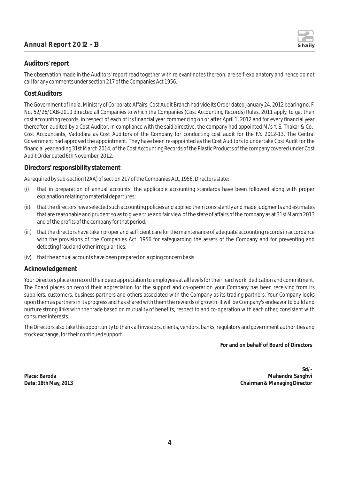

The observation made in the Auditors' report read together with relevant notes thereon, are self-explanatory and hence do not call for any comments under section 217 of the Companies Act 1956.

#### **Cost Auditors**

The Government of India, Ministry of Corporate Affairs, Cost Audit Branch had vide its Order dated January 24, 2012 bearing no. F. No. 52/26/CAB-2010 directed all Companies to which the Companies (Cost Accounting Records) Rules, 2011 apply, to get their cost accounting records, in respect of each of its financial year commencing on or after April 1, 2012 and for every financial year thereafter, audited by a Cost Auditor. In compliance with the said directive, the company had appointed M/s Y. S. Thakar & Co., Cost Accountants, Vadodara as Cost Auditors of the Company for conducting cost audit for the F.Y. 2012-13. The Central Government had approved the appointment. They have been re-appointed as the Cost Auditors to undertake Cost Audit for the financial year ending 31st March 2014, of the Cost Accounting Records of the Plastic Products of the company covered under Cost Audit Order dated 6th November, 2012.

#### **Directors' responsibility statement**

As required by sub-section (2AA) of section 217 of the Companies Act, 1956, Directors state:

- (i) that in preparation of annual accounts, the applicable accounting standards have been followed along with proper explanation relating to material departures;
- (ii) that the directors have selected such accounting policies and applied them consistently and made judgments and estimates that are reasonable and prudent so as to give a true and fair view of the state of affairs of the company as at 31st March 2013 and of the profits of the company for that period;
- (iii) that the directors have taken proper and sufficient care for the maintenance of adequate accounting records in accordance with the provisions of the Companies Act, 1956 for safeguarding the assets of the Company and for preventing and detecting fraud and other irregularities;
- (iv) that the annual accounts have been prepared on a going concern basis.

#### **Acknowledgement**

Your Directors place on record their deep appreciation to employees at all levels for their hard work, dedication and commitment. The Board places on record their appreciation for the support and co-operation your Company has been receiving from its suppliers, customers, business partners and others associated with the Company as its trading partners. Your Company looks upon them as partners in its progress and has shared with them the rewards of growth. It will be Company's endeavor to build and nurture strong links with the trade based on mutuality of benefits, respect to and co-operation with each other, consistent with consumer interests.

The Directors also take this opportunity to thank all investors, clients, vendors, banks, regulatory and government authorities and stock exchange, for their continued support.

**For and on behalf of Board of Directors** 

**Sd/-** Place: Baroda **Mahendra Sanghvi** *Mahendra Sanghvi**Mahendra Sanghvi**Mahendra Sanghvi**Mahendra Sanghvi**Mahendra Sanghvi**Mahendra Sanghvi**Mahendra Sanghvi**Mahendra Sanghvi**Mahendra Sanghvi**Mahendra Sanghvi* **Date: 18th May, 2013 Chairman & Managing Director**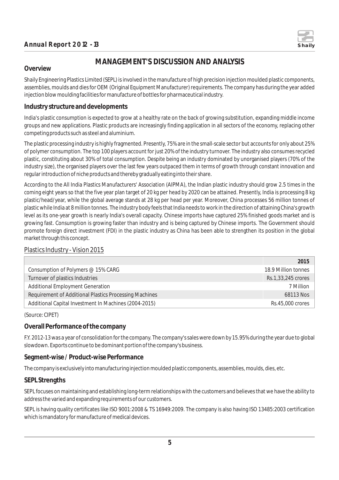

## **MANAGEMENT'S DISCUSSION AND ANALYSIS**

#### **Overview**

Shaily Engineering Plastics Limited (SEPL) is involved in the manufacture of high precision injection moulded plastic components, assemblies, moulds and dies for OEM (Original Equipment Manufacturer) requirements. The company has during the year added injection blow moulding facilities for manufacture of bottles for pharmaceutical industry.

#### **Industry structure and developments**

India's plastic consumption is expected to grow at a healthy rate on the back of growing substitution, expanding middle income groups and new applications. Plastic products are increasingly finding application in all sectors of the economy, replacing other competing products such as steel and aluminium.

The plastic processing industry is highly fragmented. Presently, 75% are in the small-scale sector but accounts for only about 25% of polymer consumption. The top 100 players account for just 20% of the industry turnover. The industry also consumes recycled plastic, constituting about 30% of total consumption. Despite being an industry dominated by unorganised players (70% of the industry size), the organised players over the last few years outpaced them in terms of growth through constant innovation and regular introduction of niche products and thereby gradually eating into their share.

According to the All India Plastics Manufacturers' Association (AIPMA), the Indian plastic industry should grow 2.5 times in the coming eight years so that the five year plan target of 20 kg per head by 2020 can be attained. Presently, India is processing 8 kg plastic/head/year, while the global average stands at 28 kg per head per year. Moreover, China processes 56 million tonnes of plastic while India at 8 million tonnes. The industry body feels that India needs to work in the direction of attaining China's growth level as its one-year growth is nearly India's overall capacity. Chinese imports have captured 25% finished goods market and is growing fast. Consumption is growing faster than industry and is being captured by Chinese imports. The Government should promote foreign direct investment (FDI) in the plastic industry as China has been able to strengthen its position in the global market through this concept.

#### Plastics Industry - Vision 2015

|                                                        | 2015                |
|--------------------------------------------------------|---------------------|
| Consumption of Polymers @ 15% CARG                     | 18.9 Million tonnes |
| Turnover of plastics Industries                        | Rs.1,33,245 crores  |
| <b>Additional Employment Generation</b>                | 7 Million           |
| Requirement of Additional Plastics Processing Machines | 68113 Nos           |
| Additional Capital Investment In Machines (2004-2015)  | Rs.45,000 crores    |

(Source: CIPET)

#### **Overall Performance of the company**

F.Y. 2012-13 was a year of consolidation for the company. The company's sales were down by 15.95% during the year due to global slowdown. Exports continue to be dominant portion of the company's business.

#### **Segment-wise / Product-wise Performance**

The company is exclusively into manufacturing injection moulded plastic components, assemblies, moulds, dies, etc.

#### **SEPL Strengths**

SEPL focuses on maintaining and establishing long-term relationships with the customers and believes that we have the ability to address the varied and expanding requirements of our customers.

SEPL is having quality certificates like ISO 9001:2008 & TS 16949:2009. The company is also having ISO 13485:2003 certification which is mandatory for manufacture of medical devices.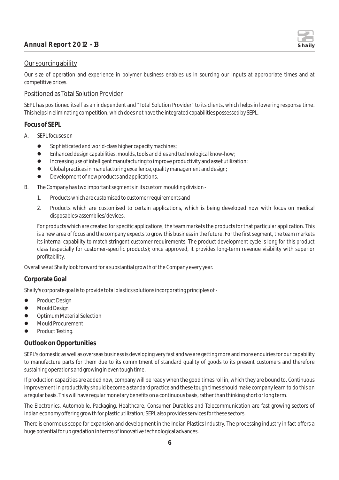

#### Our sourcing ability

Our size of operation and experience in polymer business enables us in sourcing our inputs at appropriate times and at competitive prices.

#### Positioned as Total Solution Provider

SEPL has positioned itself as an independent and "Total Solution Provider" to its clients, which helps in lowering response time. This helps in eliminating competition, which does not have the integrated capabilities possessed by SEPL.

#### **Focus of SEPL**

- A. SEPL focuses on -
	- **•** Sophisticated and world-class higher capacity machines;
	- l Enhanced design capabilities, moulds, tools and dies and technological know-how;
	- l Increasing use of intelligent manufacturing to improve productivity and asset utilization;
	- **•** Global practices in manufacturing excellence, quality management and design;
	- **•** Development of new products and applications.
- B. The Company has two important segments in its custom moulding division
	- 1. Products which are customised to customer requirements and
	- 2. Products which are customised to certain applications, which is being developed now with focus on medical disposables/assemblies/devices.

For products which are created for specific applications, the team markets the products for that particular application. This is a new area of focus and the company expects to grow this business in the future. For the first segment, the team markets its internal capability to match stringent customer requirements. The product development cycle is long for this product class (especially for customer-specific products); once approved, it provides long-term revenue visibility with superior profitability.

Overall we at Shaily look forward for a substantial growth of the Company every year.

#### **Corporate Goal**

Shaily's corporate goal is to provide total plastics solutions incorporating principles of -

- **•** Product Design
- $\bullet$  Mould Design
- Optimum Material Selection
- **•** Mould Procurement
- **•** Product Testing.

#### **Outlook on Opportunities**

SEPL's domestic as well as overseas business is developing very fast and we are getting more and more enquiries for our capability to manufacture parts for them due to its commitment of standard quality of goods to its present customers and therefore sustaining operations and growing in even tough time.

If production capacities are added now, company will be ready when the good times roll in, which they are bound to. Continuous improvement in productivity should become a standard practice and these tough times should make company learn to do this on a regular basis. This will have regular monetary benefits on a continuous basis, rather than thinking short or long term.

The Electronics, Automobile, Packaging, Healthcare, Consumer Durables and Telecommunication are fast growing sectors of Indian economy offering growth for plastic utilization; SEPL also provides services for these sectors.

There is enormous scope for expansion and development in the Indian Plastics Industry. The processing industry in fact offers a huge potential for up gradation in terms of innovative technological advances.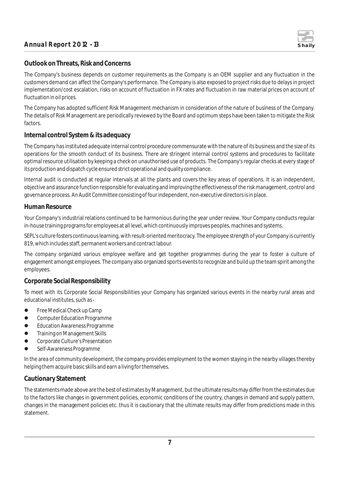

#### **Outlook on Threats, Risk and Concerns**

The Company's business depends on customer requirements as the Company is an OEM supplier and any fluctuation in the customers demand can affect the Company's performance. The Company is also exposed to project risks due to delays in project implementation/cost escalation, risks on account of fluctuation in FX rates and fluctuation in raw material prices on account of fluctuation in oil prices.

The Company has adopted sufficient Risk Management mechanism in consideration of the nature of business of the Company. The details of Risk Management are periodically reviewed by the Board and optimum steps have been taken to mitigate the Risk factors.

#### **Internal control System & its adequacy**

The Company has instituted adequate internal control procedure commensurate with the nature of its business and the size of its operations for the smooth conduct of its business. There are stringent internal control systems and procedures to facilitate optimal resource utilisation by keeping a check on unauthorised use of products. The Company's regular checks at every stage of its production and dispatch cycle ensured strict operational and quality compliance.

Internal audit is conducted at regular intervals at all the plants and covers the key areas of operations. It is an independent, objective and assurance function responsible for evaluating and improving the effectiveness of the risk management, control and governance process. An Audit Committee consisting of four independent, non-executive directors is in place.

#### **Human Resource**

Your Company's industrial relations continued to be harmonious during the year under review. Your Company conducts regular in-house training programs for employees at all level, which continuously improves peoples, machines and systems.

SEPL's culture fosters continuous learning, with result-oriented meritocracy. The employee strength of your Company is currently 819, which includes staff, permanent workers and contract labour.

The company organized various employee welfare and get together programmes during the year to foster a culture of engagement amongst employees. The company also organized sports events to recognize and build up the team spirit among the employees.

#### **Corporate Social Responsibility**

To meet with its Corporate Social Responsibilities your Company has organized various events in the nearby rural areas and educational institutes, such as -

- **•** Free Medical Check up Camp
- **Computer Education Programme**
- **•** Education Awareness Programme
- **•** Training on Management Skills
- **•** Corporate Culture's Presentation
- **•** Self-Awareness Programme

In the area of community development, the company provides employment to the women staying in the nearby villages thereby helping them acquire basic skills and earn a living for themselves.

#### **Cautionary Statement**

The statements made above are the best of estimates by Management, but the ultimate results may differ from the estimates due to the factors like changes in government policies, economic conditions of the country, changes in demand and supply pattern, changes in the management policies etc. thus it is cautionary that the ultimate results may differ from predictions made in this statement.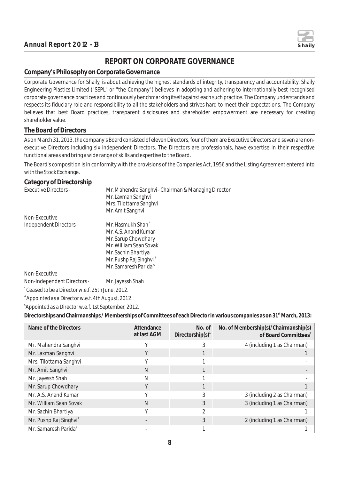

## **REPORT ON CORPORATE GOVERNANCE**

#### **Company's Philosophy on Corporate Governance**

Corporate Governance for Shaily, is about achieving the highest standards of integrity, transparency and accountability. Shaily Engineering Plastics Limited ("SEPL" or "the Company") believes in adopting and adhering to internationally best recognised corporate governance practices and continuously benchmarking itself against each such practice. The Company understands and respects its fiduciary role and responsibility to all the stakeholders and strives hard to meet their expectations. The Company believes that best Board practices, transparent disclosures and shareholder empowerment are necessary for creating shareholder value.

#### **The Board of Directors**

As on March 31, 2013, the company's Board consisted of eleven Directors, four of them are Executive Directors and seven are nonexecutive Directors including six independent Directors. The Directors are professionals, have expertise in their respective functional areas and bring a wide range of skills and expertise to the Board.

The Board's composition is in conformity with the provisions of the Companies Act, 1956 and the Listing Agreement entered into with the Stock Exchange.

## **Category of Directorship**

| Executive Directors -       | Mr. Mahendra Sanghvi - Chairman & Managing Director |
|-----------------------------|-----------------------------------------------------|
|                             | Mr. Laxman Sanghvi                                  |
|                             | Mrs. Tilottama Sanghvi                              |
|                             | Mr. Amit Sanghvi                                    |
| Non-Executive               |                                                     |
| Independent Directors -     | Mr. Hasmukh Shah <sup>*</sup>                       |
|                             | Mr. A.S. Anand Kumar                                |
|                             | Mr. Sarup Chowdhary                                 |
|                             | Mr. William Sean Sovak                              |
|                             | Mr. Sachin Bhartiya                                 |
|                             | Mr. Pushp Raj Singhvi <sup>#</sup>                  |
|                             | Mr. Samaresh Parida <sup>\$</sup>                   |
| Non-Executive               |                                                     |
| Non-Independent Directors - | Mr. Jayessh Shah                                    |

*\* Ceased to be a Director w.e.f. 25th June, 2012.*

*# Appointed as a Director w.e.f. 4th August, 2012.*

*\$ Appointed as a Director w.e.f. 1st September, 2012.*

**st Directorships and Chairmanships / Memberships of Committees of each Director in various companies as on 31 March, 2013:**

| Name of the Directors              | Attendance<br>at last AGM | No. of<br>Directorship(s) <sup>1</sup> | No. of Membership(s)/Chairmanship(s)<br>of Board Committees <sup>2</sup> |
|------------------------------------|---------------------------|----------------------------------------|--------------------------------------------------------------------------|
| Mr. Mahendra Sanghvi               |                           |                                        | 4 (including 1 as Chairman)                                              |
| Mr. Laxman Sanghvi                 |                           |                                        |                                                                          |
| Mrs. Tilottama Sanghvi             |                           |                                        |                                                                          |
| Mr. Amit Sanghvi                   | N                         |                                        |                                                                          |
| Mr. Jayessh Shah                   | Ν                         |                                        |                                                                          |
| Mr. Sarup Chowdhary                | Y                         |                                        |                                                                          |
| Mr. A.S. Anand Kumar               | v                         |                                        | 3 (including 2 as Chairman)                                              |
| Mr. William Sean Sovak             | N                         | 3                                      | 3 (including 1 as Chairman)                                              |
| Mr. Sachin Bhartiya                | $\sqrt{}$                 |                                        |                                                                          |
| Mr. Pushp Raj Singhvi <sup>#</sup> |                           | 3                                      | 2 (including 1 as Chairman)                                              |
| Mr. Samaresh Parida <sup>\$</sup>  |                           |                                        |                                                                          |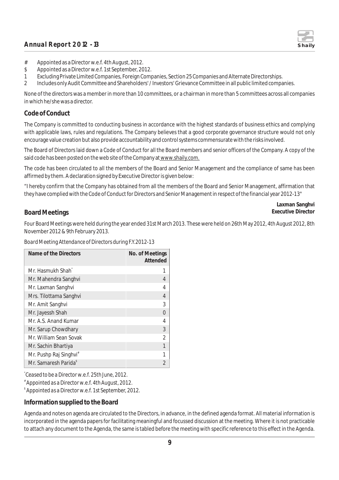

- # Appointed as a Director w.e.f. 4th August, 2012.
- \$ Appointed as a Director w.e.f. 1st September, 2012.
- 1 Excluding Private Limited Companies, Foreign Companies, Section 25 Companies and Alternate Directorships.
- 2 Includes only Audit Committee and Shareholders' / Investors' Grievance Committee in all public limited companies.

None of the directors was a member in more than 10 committees, or a chairman in more than 5 committees across all companies in which he/she was a director.

#### **Code of Conduct**

The Company is committed to conducting business in accordance with the highest standards of business ethics and complying with applicable laws, rules and regulations. The Company believes that a good corporate governance structure would not only encourage value creation but also provide accountability and control systems commensurate with the risks involved.

The Board of Directors laid down a Code of Conduct for all the Board members and senior officers of the Company. A copy of the said code has been posted on the web site of the Company at www.shaily.com.

The code has been circulated to all the members of the Board and Senior Management and the compliance of same has been affirmed by them. A declaration signed by Executive Director is given below:

"I hereby confirm that the Company has obtained from all the members of the Board and Senior Management, affirmation that they have complied with the Code of Conduct for Directors and Senior Management in respect of the financial year 2012-13"

**Laxman Sanghvi**

#### **Board Meetings Executive Director Executive Director**

Four Board Meetings were held during the year ended 31st March 2013. These were held on 26th May 2012, 4th August 2012, 8th November 2012 & 9th February 2013.

*Board Meeting Attendance of Directors during F.Y.2012-13*

| Name of the Directors              | No. of Meetings<br>Attended |
|------------------------------------|-----------------------------|
| Mr. Hasmukh Shah <sup>®</sup>      |                             |
| Mr. Mahendra Sanghvi               |                             |
| Mr. Laxman Sanghvi                 |                             |
| Mrs. Tilottama Sanghvi             | 4                           |
| Mr. Amit Sanghvi                   | 3                           |
| Mr. Jayessh Shah                   | O                           |
| Mr. A.S. Anand Kumar               | 4                           |
| Mr. Sarup Chowdhary                | 3                           |
| Mr. William Sean Sovak             | 2                           |
| Mr. Sachin Bhartiya                |                             |
| Mr. Pushp Raj Singhvi <sup>#</sup> |                             |
| Mr. Samaresh Parida <sup>s</sup>   |                             |

*\* Ceased to be a Director w.e.f. 25th June, 2012.*

*# Appointed as a Director w.e.f. 4th August, 2012.*

*\$ Appointed as a Director w.e.f. 1st September, 2012.*

#### **Information supplied to the Board**

Agenda and notes on agenda are circulated to the Directors, in advance, in the defined agenda format. All material information is incorporated in the agenda papers for facilitating meaningful and focussed discussion at the meeting. Where it is not practicable to attach any document to the Agenda, the same is tabled before the meeting with specific reference to this effect in the Agenda.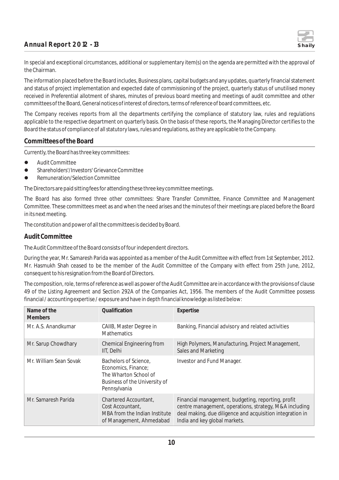

In special and exceptional circumstances, additional or supplementary item(s) on the agenda are permitted with the approval of the Chairman.

The information placed before the Board includes, Business plans, capital budgets and any updates, quarterly financial statement and status of project implementation and expected date of commissioning of the project, quarterly status of unutilised money received in Preferential allotment of shares, minutes of previous board meeting and meetings of audit committee and other committees of the Board, General notices of interest of directors, terms of reference of board committees, etc.

The Company receives reports from all the departments certifying the compliance of statutory law, rules and regulations applicable to the respective department on quarterly basis. On the basis of these reports, the Managing Director certifies to the Board the status of compliance of all statutory laws, rules and regulations, as they are applicable to the Company.

#### **Committees of the Board**

Currently, the Board has three key committees:

- **•** Audit Committee
- l Shareholders'/Investors' Grievance Committee
- Remuneration/Selection Committee

The Directors are paid sitting fees for attending these three key committee meetings.

The Board has also formed three other committees: *Share Transfer Committee, Finance Committee and Management Committee.* These committees meet as and when the need arises and the minutes of their meetings are placed before the Board in its next meeting.

The constitution and power of all the committees is decided by Board.

#### **Audit Committee**

The Audit Committee of the Board consists of four independent directors.

During the year, Mr. Samaresh Parida was appointed as a member of the Audit Committee with effect from 1st September, 2012. Mr. Hasmukh Shah ceased to be the member of the Audit Committee of the Company with effect from 25th June, 2012, consequent to his resignation from the Board of Directors.

The composition, role, terms of reference as well as power of the Audit Committee are in accordance with the provisions of clause 49 of the Listing Agreement and Section 292A of the Companies Act, 1956. The members of the Audit Committee possess financial / accounting expertise / exposure and have in depth financial knowledge as listed below:

| Name of the<br><b>Members</b> | Qualification                                                                                                          | Expertise                                                                                                                                                                                                  |
|-------------------------------|------------------------------------------------------------------------------------------------------------------------|------------------------------------------------------------------------------------------------------------------------------------------------------------------------------------------------------------|
| Mr. A.S. Anandkumar           | CAIIB, Master Degree in<br><b>Mathematics</b>                                                                          | Banking, Financial advisory and related activities                                                                                                                                                         |
| Mr. Sarup Chowdhary           | Chemical Engineering from<br>IIT, Delhi                                                                                | High Polymers, Manufacturing, Project Management,<br>Sales and Marketing                                                                                                                                   |
| Mr. William Sean Sovak        | Bachelors of Science,<br>Economics, Finance;<br>The Wharton School of<br>Business of the University of<br>Pennsylvania | Investor and Fund Manager.                                                                                                                                                                                 |
| Mr. Samaresh Parida           | Chartered Accountant,<br>Cost Accountant,<br>MBA from the Indian Institute<br>of Management, Ahmedabad                 | Financial management, budgeting, reporting, profit<br>centre management, operations, strategy, M&A including<br>deal making, due diligence and acquisition integration in<br>India and key global markets. |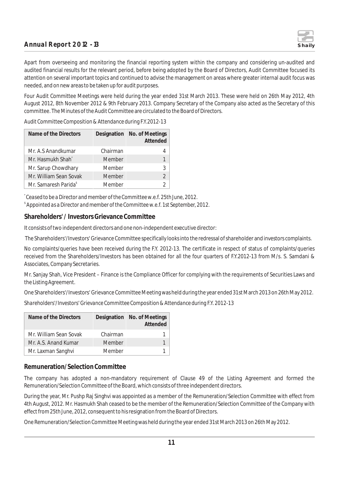

Apart from overseeing and monitoring the financial reporting system within the company and considering un-audited and audited financial results for the relevant period, before being adopted by the Board of Directors, Audit Committee focused its attention on several important topics and continued to advise the management on areas where greater internal audit focus was needed, and on new areas to be taken up for audit purposes.

Four Audit Committee Meetings were held during the year ended 31st March 2013. These were held on 26th May 2012, 4th August 2012, 8th November 2012 & 9th February 2013. Company Secretary of the Company also acted as the Secretary of this committee. The Minutes of the Audit Committee are circulated to the Board of Directors.

*Audit Committee Composition & Attendance during F.Y.2012-13*

| Name of the Directors             |          | Designation No. of Meetings<br>Attended |
|-----------------------------------|----------|-----------------------------------------|
| Mr. A.S Anandkumar                | Chairman | 4                                       |
| Mr. Hasmukh Shah <sup>*</sup>     | Member   | 1                                       |
| Mr. Sarup Chowdhary               | Member   | 3                                       |
| Mr. William Sean Sovak            | Member   | $\overline{2}$                          |
| Mr. Samaresh Parida <sup>\$</sup> | Member   | C                                       |

*\* Ceased to be a Director and member of the Committee w.e.f. 25th June, 2012. \$ Appointed as a Director and member of the Committee w.e.f. 1st September, 2012.*

#### **Shareholders' / Investors Grievance Committee**

It consists of two independent directors and one non-independent executive director:

The Shareholders'/Investors' Grievance Committee specifically looks into the redressal of shareholder and investors complaints.

No complaints/queries have been received during the F.Y. 2012-13. The certificate in respect of status of complaints/queries received from the Shareholders/Investors has been obtained for all the four quarters of F.Y.2012-13 from M/s. S. Samdani & Associates, Company Secretaries.

Mr. Sanjay Shah, Vice President – Finance is the Compliance Officer for complying with the requirements of Securities Laws and the Listing Agreement.

One Shareholders'/Investors' Grievance Committee Meeting was held during the year ended 31st March 2013 on 26th May 2012.

*Shareholders'/Investors' Grievance Committee Composition & Attendance during F.Y. 2012-13*

| Name of the Directors  |          | Designation No. of Meetings<br>Attended |
|------------------------|----------|-----------------------------------------|
| Mr. William Sean Sovak | Chairman |                                         |
| Mr. A.S. Anand Kumar   | Member   |                                         |
| Mr. Laxman Sanghvi     | Member   |                                         |

#### **Remuneration/Selection Committee**

The company has adopted a non-mandatory requirement of Clause 49 of the Listing Agreement and formed the Remuneration/Selection Committee of the Board, which consists of three independent directors.

During the year, Mr. Pushp Raj Singhvi was appointed as a member of the Remuneration/Selection Committee with effect from 4th August, 2012. Mr. Hasmukh Shah ceased to be the member of the Remuneration/Selection Committee of the Company with effect from 25th June, 2012, consequent to his resignation from the Board of Directors.

One Remuneration/Selection Committee Meeting was held during the year ended 31st March 2013 on 26th May 2012.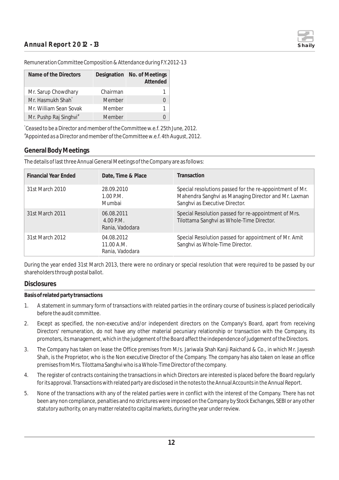

| Remuneration Committee Composition & Attendance during F.Y.2012-13 |  |  |
|--------------------------------------------------------------------|--|--|
|                                                                    |  |  |
|                                                                    |  |  |
|                                                                    |  |  |

| Name of the Directors              |          | Designation No. of Meetings<br>Attended |
|------------------------------------|----------|-----------------------------------------|
| Mr. Sarup Chowdhary                | Chairman |                                         |
| Mr. Hasmukh Shah <sup>*</sup>      | Member   |                                         |
| Mr. William Sean Sovak             | Member   |                                         |
| Mr. Pushp Raj Singhvi <sup>#</sup> | Member   |                                         |

*\* Ceased to be a Director and member of the Committee w.e.f. 25th June, 2012. # Appointed as a Director and member of the Committee w.e.f. 4th August, 2012.*

#### **General Body Meetings**

The details of last three Annual General Meetings of the Company are as follows:

| <b>Financial Year Ended</b> | Date, Time & Place                           | Transaction                                                                                                                                        |
|-----------------------------|----------------------------------------------|----------------------------------------------------------------------------------------------------------------------------------------------------|
| 31st March 2010             | 28.09.2010<br>1.00 P.M.<br>Mumbai            | Special resolutions passed for the re-appointment of Mr.<br>Mahendra Sanghvi as Managing Director and Mr. Laxman<br>Sanghvi as Executive Director. |
| 31st March 2011             | 06.08.2011<br>$4.00$ P.M.<br>Rania, Vadodara | Special Resolution passed for re-appointment of Mrs.<br>Tilottama Sanghvi as Whole-Time Director.                                                  |
| 31st March 2012             | 04.08.2012<br>11.00 A.M.<br>Rania, Vadodara  | Special Resolution passed for appointment of Mr. Amit<br>Sanghvi as Whole-Time Director.                                                           |

During the year ended 31st March 2013, there were no ordinary or special resolution that were required to be passed by our shareholders through postal ballot.

#### **Disclosures**

**Basis of related party transactions**

- 1. A statement in summary form of transactions with related parties in the ordinary course of business is placed periodically before the audit committee.
- 2. Except as specified, the non-executive and/or independent directors on the Company's Board, apart from receiving Directors' remuneration, do not have any other material pecuniary relationship or transaction with the Company, its promoters, its management, which in the judgement of the Board affect the independence of judgement of the Directors.
- 3. The Company has taken on lease the Office premises from M/s. Jariwala Shah Kanji Raichand & Co., in which Mr. Jayessh Shah, is the Proprietor, who is the Non executive Director of the Company. The company has also taken on lease an office premises from Mrs. Tilottama Sanghvi who is a Whole-Time Director of the company.
- 4. The register of contracts containing the transactions in which Directors are interested is placed before the Board regularly for its approval. Transactions with related party are disclosed in the notes to the Annual Accounts in the Annual Report.
- 5. None of the transactions with any of the related parties were in conflict with the interest of the Company. There has not been any non compliance, penalties and no strictures were imposed on the Company by Stock Exchanges, SEBI or any other statutory authority, on any matter related to capital markets, during the year under review.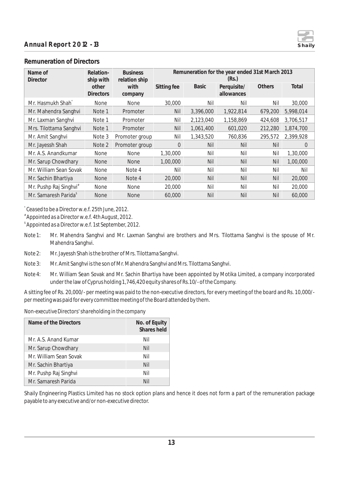

#### **Remuneration of Directors**

| Name of<br>Director                | Relation-<br><b>Business</b><br>ship with<br>relation ship |                 | Remuneration for the year ended 31st March 2013<br>(Rs.) |              |                           |               |           |
|------------------------------------|------------------------------------------------------------|-----------------|----------------------------------------------------------|--------------|---------------------------|---------------|-----------|
|                                    | other<br><b>Directors</b>                                  | with<br>company | Sitting fee                                              | <b>Basic</b> | Perquisite/<br>allowances | <b>Others</b> | Total     |
| Mr. Hasmukh Shah <sup>®</sup>      | None                                                       | <b>None</b>     | 30,000                                                   | Nil          | Nil                       | Nil           | 30,000    |
| Mr. Mahendra Sanghvi               | Note 1                                                     | Promoter        | Nil                                                      | 3,396,000    | 1,922,814                 | 679,200       | 5,998,014 |
| Mr. Laxman Sanghvi                 | Note 1                                                     | Promoter        | Nil                                                      | 2,123,040    | 1,158,869                 | 424,608       | 3,706,517 |
| Mrs. Tilottama Sanghvi             | Note 1                                                     | Promoter        | Nil                                                      | 1,061,400    | 601,020                   | 212,280       | 1,874,700 |
| Mr. Amit Sanghvi                   | Note 3                                                     | Promoter group  | Nil                                                      | 1,343,520    | 760,836                   | 295,572       | 2,399,928 |
| Mr. Jayessh Shah                   | Note 2                                                     | Promoter group  | $\Omega$                                                 | Nil          | Nil                       | Nil           | $\Omega$  |
| Mr. A.S. Anandkumar                | <b>None</b>                                                | <b>None</b>     | 1,30,000                                                 | Nil          | Nil                       | Nil           | 1,30,000  |
| Mr. Sarup Chowdhary                | <b>None</b>                                                | <b>None</b>     | 1,00,000                                                 | Nil          | Nil                       | <b>Nil</b>    | 1,00,000  |
| Mr. William Sean Sovak             | <b>None</b>                                                | Note 4          | Nil                                                      | Nil          | Nil                       | Nil           | Nil       |
| Mr. Sachin Bhartiya                | <b>None</b>                                                | Note 4          | 20,000                                                   | Nil          | <b>Nil</b>                | Nil           | 20,000    |
| Mr. Pushp Raj Singhvi <sup>#</sup> | <b>None</b>                                                | <b>None</b>     | 20,000                                                   | Nil          | Nil                       | Nil           | 20,000    |
| Mr. Samaresh Parida <sup>®</sup>   | <b>None</b>                                                | <b>None</b>     | 60,000                                                   | Nil          | Nil                       | Nil           | 60,000    |

*\* Ceased to be a Director w.e.f. 25th June, 2012.*

*# Appointed as a Director w.e.f. 4th August, 2012.*

*\$ Appointed as a Director w.e.f. 1st September, 2012.*

- Note 1: Mr. Mahendra Sanghvi and Mr. Laxman Sanghvi are brothers and Mrs. Tilottama Sanghvi is the spouse of Mr. Mahendra Sanghvi.
- Note 2: Mr. Jayessh Shah is the brother of Mrs. Tilottama Sanghvi.
- Note 3: Mr. Amit Sanghvi is the son of Mr. Mahendra Sanghvi and Mrs. Tilottama Sanghvi.
- Note 4: Mr. William Sean Sovak and Mr. Sachin Bhartiya have been appointed by Motika Limited, a company incorporated under the law of Cyprus holding 1,746,420 equity shares of Rs.10/- of the Company.

A sitting fee of Rs. 20,000/- per meeting was paid to the non-executive directors, for every meeting of the board and Rs. 10,000/ per meeting was paid for every committee meeting of the Board attended by them.

*Non-executive Directors' shareholding in the company*

| Name of the Directors  | No. of Equity<br>Shares held |
|------------------------|------------------------------|
| Mr. A.S. Anand Kumar   | Nil                          |
| Mr. Sarup Chowdhary    | Nil                          |
| Mr. William Sean Sovak | Nil                          |
| Mr. Sachin Bhartiya    | Nil                          |
| Mr. Pushp Raj Singhvi  | Nil                          |
| Mr. Samaresh Parida    | Nil                          |

Shaily Engineering Plastics Limited has no stock option plans and hence it does not form a part of the remuneration package payable to any executive and/or non-executive director.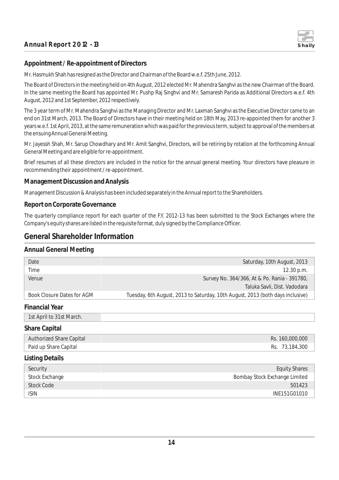

#### **Appointment / Re-appointment of Directors**

Mr. Hasmukh Shah has resigned as the Director and Chairman of the Board w.e.f. 25th June, 2012.

The Board of Directors in the meeting held on 4th August, 2012 elected Mr. Mahendra Sanghvi as the new Chairman of the Board. In the same meeting the Board has appointed Mr. Pushp Raj Singhvi and Mr. Samaresh Parida as Additional Directors w.e.f. 4th August, 2012 and 1st September, 2012 respectively.

The 3 year term of Mr. Mahendra Sanghvi as the Managing Director and Mr. Laxman Sanghvi as the Executive Director came to an end on 31st March, 2013. The Board of Directors have in their meeting held on 18th May, 2013 re-appointed them for another 3 years w.e.f. 1st April, 2013, at the same remuneration which was paid for the previous term, subject to approval of the members at the ensuing Annual General Meeting.

Mr. Jayessh Shah, Mr. Sarup Chowdhary and Mr. Amit Sanghvi, Directors, will be retiring by rotation at the forthcoming Annual General Meeting and are eligible for re-appointment.

Brief resumes of all these directors are included in the notice for the annual general meeting. Your directors have pleasure in recommending their appointment / re-appointment.

#### **Management Discussion and Analysis**

Management Discussion & Analysis has been included separately in the Annual report to the Shareholders.

#### **Report on Corporate Governance**

The quarterly compliance report for each quarter of the F.Y. 2012-13 has been submitted to the Stock Exchanges where the Company's equity shares are listed in the requisite format, duly signed by the Compliance Officer.

### **General Shareholder Information**

#### **Annual General Meeting**

| Date                              | Saturday, 10th August, 2013                                                    |
|-----------------------------------|--------------------------------------------------------------------------------|
| Time                              | 12.30 p.m.                                                                     |
| Venue                             | Survey No. 364/366, At & Po. Rania - 391780,                                   |
|                                   | Taluka Savli, Dist. Vadodara                                                   |
| <b>Book Closure Dates for AGM</b> | Tuesday, 6th August, 2013 to Saturday, 10th August, 2013 (both days inclusive) |
| <b>Financial Year</b>             |                                                                                |
| 1st April to 31st March.          |                                                                                |
| <b>Share Capital</b>              |                                                                                |
| <b>Authorized Share Capital</b>   | Rs. 160,000,000                                                                |
| Paid up Share Capital             | Rs. 73,184,300                                                                 |
| <b>Listing Details</b>            |                                                                                |
| Security                          | <b>Equity Shares</b>                                                           |
| <b>Stock Exchange</b>             | Bombay Stock Exchange Limited                                                  |
| <b>Stock Code</b>                 | 501423                                                                         |
| <b>ISIN</b>                       | INE151G01010                                                                   |
|                                   |                                                                                |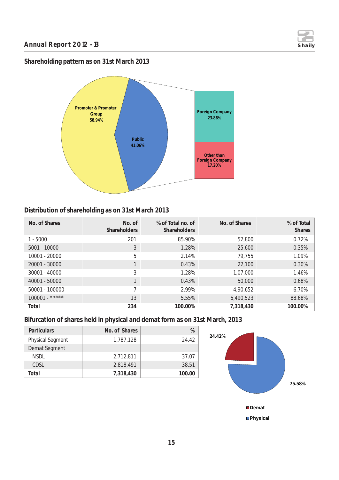

## **Shareholding pattern as on 31st March 2013**



## **Distribution of shareholding as on 31st March 2013**

| No. of Shares    | No. of<br><b>Shareholders</b> | % of Total no, of<br><b>Shareholders</b> | No. of Shares | % of Total<br><b>Shares</b> |
|------------------|-------------------------------|------------------------------------------|---------------|-----------------------------|
| $1 - 5000$       | 201                           | 85.90%                                   | 52,800        | 0.72%                       |
| $5001 - 10000$   | 3                             | 1.28%                                    | 25,600        | 0.35%                       |
| 10001 - 20000    | 5                             | 2.14%                                    | 79,755        | 1.09%                       |
| 20001 - 30000    |                               | 0.43%                                    | 22,100        | 0.30%                       |
| $30001 - 40000$  | 3                             | 1.28%                                    | 1,07,000      | 1.46%                       |
| 40001 - 50000    |                               | 0.43%                                    | 50,000        | 0.68%                       |
| 50001 - 100000   | 7                             | 2.99%                                    | 4,90,652      | 6.70%                       |
| $100001 -$ ***** | 13                            | 5.55%                                    | 6,490,523     | 88.68%                      |
| Total            | 234                           | 100.00%                                  | 7,318,430     | 100.00%                     |

**Bifurcation of shares held in physical and demat form as on 31st March, 2013**

| <b>Particulars</b>      | No. of Shares | $\%$   |
|-------------------------|---------------|--------|
| <b>Physical Segment</b> | 1,787,128     | 24.42  |
| Demat Segment           |               |        |
| <b>NSDL</b>             | 2,712,811     | 37.07  |
| CDSL                    | 2,818,491     | 38.51  |
| Total                   | 7,318,430     | 100.00 |

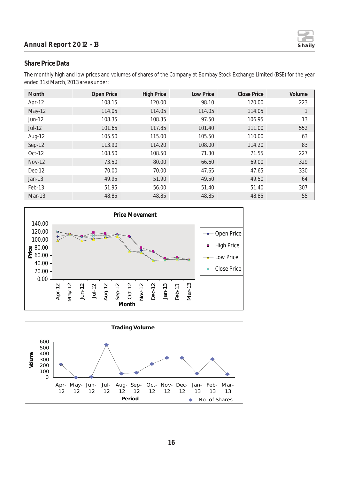#### **Annual Report 2012 - 13** Shaily



#### **Share Price Data**

The monthly high and low prices and volumes of shares of the Company at Bombay Stock Exchange Limited (BSE) for the year ended 31st March, 2013 are as under:

| Month         | Open Price | <b>High Price</b> | Low Price | <b>Close Price</b> | Volume |
|---------------|------------|-------------------|-----------|--------------------|--------|
| Apr-12        | 108.15     | 120.00            | 98.10     | 120.00             | 223    |
| May-12        | 114.05     | 114.05            | 114.05    | 114.05             | 1      |
| Jun-12        | 108.35     | 108.35            | 97.50     | 106.95             | 13     |
| Jul-12        | 101.65     | 117.85            | 101.40    | 111.00             | 552    |
| Aug-12        | 105.50     | 115.00            | 105.50    | 110.00             | 63     |
| Sep-12        | 113.90     | 114.20            | 108.00    | 114.20             | 83     |
| Oct-12        | 108.50     | 108.50            | 71.30     | 71.55              | 227    |
| <b>Nov-12</b> | 73.50      | 80.00             | 66.60     | 69.00              | 329    |
| Dec-12        | 70.00      | 70.00             | 47.65     | 47.65              | 330    |
| $Jan-13$      | 49.95      | 51.90             | 49.50     | 49.50              | 64     |
| Feb-13        | 51.95      | 56.00             | 51.40     | 51.40              | 307    |
| Mar-13        | 48.85      | 48.85             | 48.85     | 48.85              | 55     |



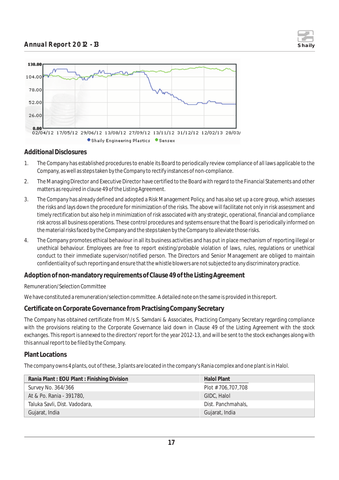



#### **Additional Disclosures**

- 1. The Company has established procedures to enable its Board to periodically review compliance of all laws applicable to the Company, as well as steps taken by the Company to rectify instances of non-compliance.
- 2. The Managing Director and Executive Director have certified to the Board with regard to the Financial Statements and other matters as required in clause 49 of the Listing Agreement.
- 3. The Company has already defined and adopted a Risk Management Policy, and has also set up a core group, which assesses the risks and lays down the procedure for minimization of the risks. The above will facilitate not only in risk assessment and timely rectification but also help in minimization of risk associated with any strategic, operational, financial and compliance risk across all business operations. These control procedures and systems ensure that the Board is periodically informed on the material risks faced by the Company and the steps taken by the Company to alleviate those risks.
- 4. The Company promotes ethical behaviour in all its business activities and has put in place mechanism of reporting illegal or unethical behaviour. Employees are free to report existing/probable violation of laws, rules, regulations or unethical conduct to their immediate supervisor/notified person. The Directors and Senior Management are obliged to maintain confidentiality of such reporting and ensure that the whistle blowers are not subjected to any discriminatory practice.

#### **Adoption of non-mandatory requirements of Clause 49 of the Listing Agreement**

#### *Remuneration/Selection Committee*

We have constituted a remuneration/selection committee. A detailed note on the same is provided in this report.

#### **Certificate on Corporate Governance from Practising Company Secretary**

The Company has obtained certificate from M/s S. Samdani & Associates, Practicing Company Secretary regarding compliance with the provisions relating to the Corporate Governance laid down in Clause 49 of the Listing Agreement with the stock exchanges. This report is annexed to the directors' report for the year 2012-13, and will be sent to the stock exchanges along with this annual report to be filed by the Company.

#### **Plant Locations**

The company owns 4 plants, out of these, 3 plants are located in the company's Rania complex and one plant is in Halol.

| Rania Plant: EOU Plant: Finishing Division | Halol Plant        |
|--------------------------------------------|--------------------|
| Survey No. 364/366                         | Plot # 706,707,708 |
| At & Po. Rania - 391780,                   | GIDC, Halol        |
| Taluka Savli, Dist. Vadodara,              | Dist. Panchmahals, |
| Gujarat, India                             | Gujarat, India     |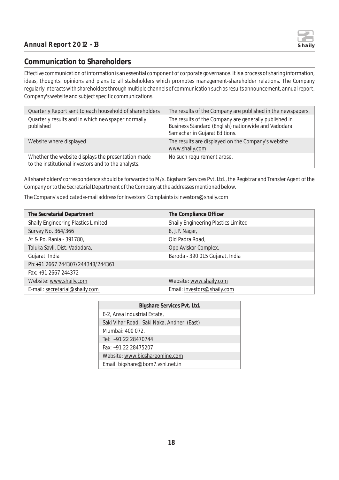

## **Communication to Shareholders**

Effective communication of information is an essential component of corporate governance. It is a process of sharing information, ideas, thoughts, opinions and plans to all stakeholders which promotes management-shareholder relations. The Company regularly interacts with shareholders through multiple channels of communication such as results announcement, annual report, Company's website and subject specific communications.

| Quarterly Report sent to each household of shareholders                                                   | The results of the Company are published in the newspapers.                                                                                   |
|-----------------------------------------------------------------------------------------------------------|-----------------------------------------------------------------------------------------------------------------------------------------------|
| Quarterly results and in which newspaper normally<br>published                                            | The results of the Company are generally published in<br>Business Standard (English) nationwide and Vadodara<br>Samachar in Gujarat Editions. |
| Website where displayed                                                                                   | The results are displayed on the Company's website<br>www.shaily.com                                                                          |
| Whether the website displays the presentation made<br>to the institutional investors and to the analysts. | No such requirement arose.                                                                                                                    |

All shareholders' correspondence should be forwarded to M/s. Bigshare Services Pvt. Ltd., the Registrar and Transfer Agent of the Company or to the Secretarial Department of the Company at the addresses mentioned below.

The Company's dedicated e-mail address for Investors' Complaints is investors@shaily.com

| The Secretarial Department                 | The Compliance Officer                     |
|--------------------------------------------|--------------------------------------------|
| <b>Shaily Engineering Plastics Limited</b> | <b>Shaily Engineering Plastics Limited</b> |
| Survey No. 364/366                         | 8, J.P. Nagar,                             |
| At & Po. Rania - 391780,                   | Old Padra Road,                            |
| Taluka Savli, Dist. Vadodara,              | Opp Aviskar Complex,                       |
| Gujarat, India                             | Baroda - 390 015 Gujarat, India            |
| Ph:+91 2667 244307/244348/244361           |                                            |
| Fax: +91 2667 244372                       |                                            |
| Website: www.shaily.com                    | Website: www.shaily.com                    |
| E-mail: secretarial@shaily.com             | Email: investors@shaily.com                |

| Bigshare Services Pvt. Ltd.                |  |
|--------------------------------------------|--|
| E-2, Ansa Industrial Estate,               |  |
| Saki Vihar Road, Saki Naka, Andheri (East) |  |
| Mumbai: 400 072.                           |  |
| Tel: +91 22 28470744                       |  |
| Fax: +91 22 28475207                       |  |
| Website: www.bigshareonline.com            |  |
| Email: bigshare@bom7.vsnl.net.in           |  |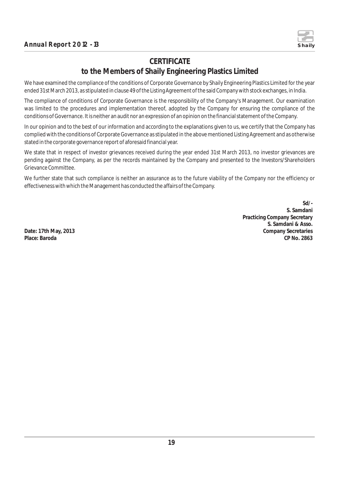

## **CERTIFICATE**

## **to the Members of Shaily Engineering Plastics Limited**

We have examined the compliance of the conditions of Corporate Governance by Shaily Engineering Plastics Limited for the year ended 31st March 2013, as stipulated in clause 49 of the Listing Agreement of the said Company with stock exchanges, in India.

The compliance of conditions of Corporate Governance is the responsibility of the Company's Management. Our examination was limited to the procedures and implementation thereof, adopted by the Company for ensuring the compliance of the conditions of Governance. It is neither an audit nor an expression of an opinion on the financial statement of the Company.

In our opinion and to the best of our information and according to the explanations given to us, we certify that the Company has complied with the conditions of Corporate Governance as stipulated in the above mentioned Listing Agreement and as otherwise stated in the corporate governance report of aforesaid financial year.

We state that in respect of investor grievances received during the year ended 31st March 2013, no investor grievances are pending against the Company, as per the records maintained by the Company and presented to the Investors/Shareholders Grievance Committee.

We further state that such compliance is neither an assurance as to the future viability of the Company nor the efficiency or effectiveness with which the Management has conducted the affairs of the Company.

**Sd/- S. Samdani Practicing Company Secretary S. Samdani & Asso. Date: 17th May, 2013 Company Secretaries Place: Baroda CP No. 2863**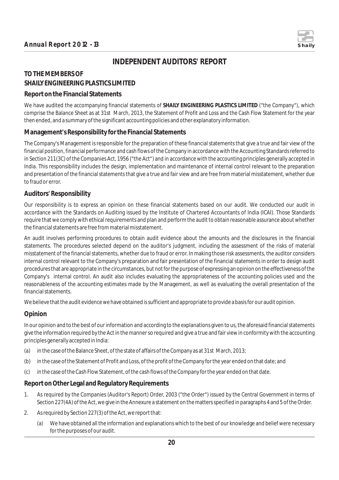

## **INDEPENDENT AUDITORS' REPORT**

## **TO THE MEMBERS OF SHAILY ENGINEERING PLASTICS LIMITED**

#### **Report on the Financial Statements**

We have audited the accompanying financial statements of **SHAILY ENGINEERING PLASTICS LIMITED** ("the Company"), which comprise the Balance Sheet as at 31st March, 2013, the Statement of Profit and Loss and the Cash Flow Statement for the year then ended, and a summary of the significant accounting policies and other explanatory information.

#### **Management's Responsibility for the Financial Statements**

The Company's Management is responsible for the preparation of these financial statements that give a true and fair view of the financial position, financial performance and cash flows of the Company in accordance with the Accounting Standards referred to in Section 211(3C) of the Companies Act, 1956 ("the Act") and in accordance with the accounting principles generally accepted in India. This responsibility includes the design, implementation and maintenance of internal control relevant to the preparation and presentation of the financial statements that give a true and fair view and are free from material misstatement, whether due to fraud or error.

#### **Auditors' Responsibility**

Our responsibility is to express an opinion on these financial statements based on our audit. We conducted our audit in accordance with the Standards on Auditing issued by the Institute of Chartered Accountants of India (ICAI). Those Standards require that we comply with ethical requirements and plan and perform the audit to obtain reasonable assurance about whether the financial statements are free from material misstatement.

An audit involves performing procedures to obtain audit evidence about the amounts and the disclosures in the financial statements. The procedures selected depend on the auditor's judgment, including the assessment of the risks of material misstatement of the financial statements, whether due to fraud or error. In making those risk assessments, the auditor considers internal control relevant to the Company's preparation and fair presentation of the financial statements in order to design audit procedures that are appropriate in the circumstances, but not for the purpose of expressing an opinion on the effectiveness of the Company's internal control. An audit also includes evaluating the appropriateness of the accounting policies used and the reasonableness of the accounting estimates made by the Management, as well as evaluating the overall presentation of the financial statements.

We believe that the audit evidence we have obtained is sufficient and appropriate to provide a basis for our audit opinion.

#### **Opinion**

In our opinion and to the best of our information and according to the explanations given to us, the aforesaid financial statements give the information required by the Act in the manner so required and give a true and fair view in conformity with the accounting principles generally accepted in India:

- (a) in the case of the Balance Sheet, of the state of affairs of the Company as at 31st March, 2013;
- (b) in the case of the Statement of Profit and Loss, of the profit of the Company for the year ended on that date; and
- (c) in the case of the Cash Flow Statement, of the cash flows of the Company for the year ended on that date.

#### **Report on Other Legal and Regulatory Requirements**

- 1. As required by the Companies (Auditor's Report) Order, 2003 ("the Order") issued by the Central Government in terms of Section 227(4A) of the Act, we give in the Annexure a statement on the matters specified in paragraphs 4 and 5 of the Order.
- 2. As required by Section 227(3) of the Act, we report that:
	- (a) We have obtained all the information and explanations which to the best of our knowledge and belief were necessary for the purposes of our audit.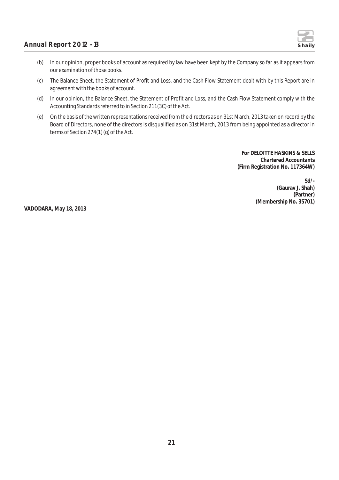

- (b) In our opinion, proper books of account as required by law have been kept by the Company so far as it appears from our examination of those books.
- (c) The Balance Sheet, the Statement of Profit and Loss, and the Cash Flow Statement dealt with by this Report are in agreement with the books of account.
- (d) In our opinion, the Balance Sheet, the Statement of Profit and Loss, and the Cash Flow Statement comply with the Accounting Standards referred to in Section 211(3C) of the Act.
- (e) On the basis of the written representations received from the directors as on 31st March, 2013 taken on record by the Board of Directors, none of the directors is disqualified as on 31st March, 2013 from being appointed as a director in terms of Section 274(1) (g) of the Act.

**For DELOITTE HASKINS & SELLS Chartered Accountants (Firm Registration No. 117364W)**

> **Sd/- (Gaurav J. Shah) (Partner) (Membership No. 35701)**

**VADODARA, May 18, 2013**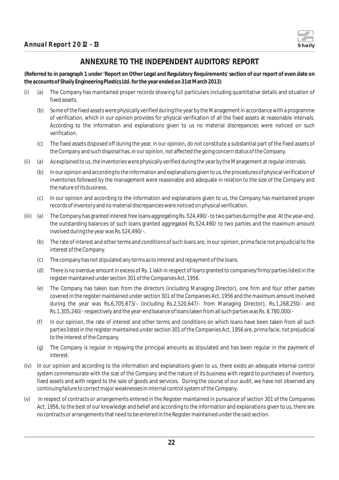

## **ANNEXURE TO THE INDEPENDENT AUDITORS' REPORT**

**(Referred to in paragraph 1 under 'Report on Other Legal and Regulatory Requirements' section of our report of even date on the accounts of Shaily Engineering Plastics Ltd. for the year ended on 31st March 2013)**

- (i) (a) The Company has maintained proper records showing full particulars including quantitative details and situation of fixed assets.
	- (b) Some of the fixed assets were physically verified during the year by the Management in accordance with a programme of verification, which in our opinion provides for physical verification of all the fixed assets at reasonable intervals. According to the information and explanations given to us no material discrepancies were noticed on such verification.
	- (c) The fixed assets disposed off during the year, in our opinion, do not constitute a substantial part of the fixed assets of the Company and such disposal has, in our opinion, not affected the going concern status of the Company.
- (ii) (a) As explained to us, the inventories were physically verified during the year by the Management at regular intervals.
	- (b) In our opinion and according to the information and explanations given to us, the procedures of physical verification of inventories followed by the management were reasonable and adequate in relation to the size of the Company and the nature of its business.
	- (c) In our opinion and according to the information and explanations given to us, the Company has maintained proper records of inventory and no material discrepancies were noticed on physical verification.
- (iii) (a) The Company has granted interest free loans aggregating Rs. 524,490/- to two parties during the year. At the year-end, the outstanding balances of such loans granted aggregated Rs.524,490/ to two parties and the maximum amount involved during the year was Rs.524,490/-.
	- (b) The rate of interest and other terms and conditions of such loans are, in our opinion, prima facie not prejudicial to the interest of the Company.
	- (c) The company has not stipulated any terms as to interest and repayment of the loans.
	- (d) There is no overdue amount in excess of Rs. 1 lakh in respect of loans granted to companies/firms/parties listed in the register maintained under section 301 of the Companies Act, 1956.
	- (e) The Company has taken loan from the directors (including Managing Director), one firm and four other parties covered in the register maintained under section 301 of the Companies Act, 1956 and the maximum amount involved during the year was Rs.6,705,873/- (including Rs.2,520,647/- from Managing Director), Rs.1,268,250/- and Rs.1,305,240/- respectively and the year-end balance of loans taken from all such parties was Rs. 8,780,000/-
	- (f) In our opinion, the rate of interest and other terms and conditions on which loans have been taken from all such parties listed in the register maintained under section 301 of the Companies Act, 1956 are, prima facie, not prejudicial to the interest of the Company.
	- (g) The Company is regular in repaying the principal amounts as stipulated and has been regular in the payment of interest.
- (iv) In our opinion and according to the information and explanations given to us, there exists an adequate internal control system commensurate with the size of the Company and the nature of its business with regard to purchases of inventory, fixed assets and with regard to the sale of goods and services. During the course of our audit, we have not observed any continuing failure to correct major weaknesses in internal control system of the Company.
- (v) In respect of contracts or arrangements entered in the Register maintained in pursuance of section 301 of the Companies Act, 1956, to the best of our knowledge and belief and according to the information and explanations given to us, there are no contracts or arrangements that need to be entered in the Register maintained under the said section.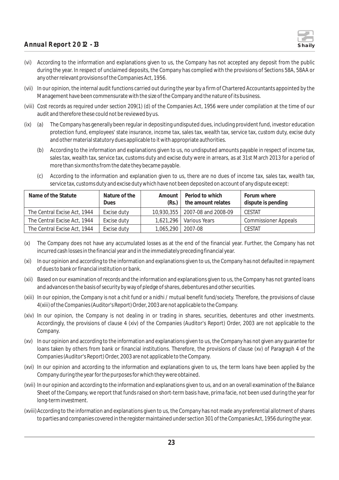

- (vi) According to the information and explanations given to us, the Company has not accepted any deposit from the public during the year. In respect of unclaimed deposits, the Company has complied with the provisions of Sections 58A, 58AA or any other relevant provisions of the Companies Act, 1956.
- (vii) In our opinion, the internal audit functions carried out during the year by a firm of Chartered Accountants appointed by the Management have been commensurate with the size of the Company and the nature of its business.
- (viii) Cost records as required under section 209(1) (d) of the Companies Act, 1956 were under compilation at the time of our audit and therefore these could not be reviewed by us.
- (ix) (a) The Company has generally been regular in depositing undisputed dues, including provident fund, investor education protection fund, employees' state insurance, income tax, sales tax, wealth tax, service tax, custom duty, excise duty and other material statutory dues applicable to it with appropriate authorities.
	- (b) According to the information and explanations given to us, no undisputed amounts payable in respect of income tax, sales tax, wealth tax, service tax, customs duty and excise duty were in arrears, as at 31st March 2013 for a period of more than six months from the date they became payable.
	- (c) According to the information and explanation given to us, there are no dues of income tax, sales tax, wealth tax, service tax, customs duty and excise duty which have not been deposited on account of any dispute except:

| Name of the Statute          | Nature of the | Amount              | Period to which                | Forum where                 |
|------------------------------|---------------|---------------------|--------------------------------|-----------------------------|
|                              | Dues          | (Rs.)               | the amount relates             | dispute is pending          |
| The Central Excise Act, 1944 | Excise duty   |                     | 10,930,355 2007-08 and 2008-09 | CESTAT                      |
| The Central Excise Act, 1944 | Excise duty   | 1.621.296           | l Various Years                | <b>Commissioner Appeals</b> |
| The Central Excise Act, 1944 | Excise duty   | 1,065,290   2007-08 |                                | <b>CESTAT</b>               |

- (x) The Company does not have any accumulated losses as at the end of the financial year. Further, the Company has not incurred cash losses in the financial year and in the immediately preceding financial year.
- (xi) In our opinion and according to the information and explanations given to us, the Company has not defaulted in repayment of dues to bank or financial institution or bank.
- (xii) Based on our examination of records and the information and explanations given to us, the Company has not granted loans and advances on the basis of security by way of pledge of shares, debentures and other securities.
- (xiii) In our opinion, the Company is not a chit fund or a nidhi / mutual benefit fund/society. Therefore, the provisions of clause 4(xiii) of the Companies (Auditor's Report) Order, 2003 are not applicable to the Company.
- (xiv) In our opinion, the Company is not dealing in or trading in shares, securities, debentures and other investments. Accordingly, the provisions of clause 4 (xiv) of the Companies (Auditor's Report) Order, 2003 are not applicable to the Company.
- (xv) In our opinion and according to the information and explanations given to us, the Company has not given any guarantee for loans taken by others from bank or financial institutions. Therefore, the provisions of clause (xv) of Paragraph 4 of the Companies (Auditor's Report) Order, 2003 are not applicable to the Company.
- (xvi) In our opinion and according to the information and explanations given to us, the term loans have been applied by the Company during the year for the purposes for which they were obtained.
- (xvii) In our opinion and according to the information and explanations given to us, and on an overall examination of the Balance Sheet of the Company, we report that funds raised on short-term basis have, prima facie, not been used during the year for long-term investment.
- (xviii)According to the information and explanations given to us, the Company has not made any preferential allotment of shares to parties and companies covered in the register maintained under section 301 of the Companies Act, 1956 during the year.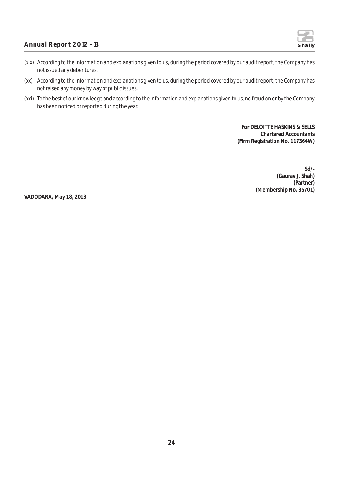

- (xix) According to the information and explanations given to us, during the period covered by our audit report, the Company has not issued any debentures.
- (xx) According to the information and explanations given to us, during the period covered by our audit report, the Company has not raised any money by way of public issues.
- (xxi) To the best of our knowledge and according to the information and explanations given to us, no fraud on or by the Company has been noticed or reported during the year.

**For DELOITTE HASKINS & SELLS Chartered Accountants (Firm Registration No. 117364W)**

> **Sd/- (Gaurav J. Shah) (Partner) (Membership No. 35701)**

**VADODARA, May 18, 2013**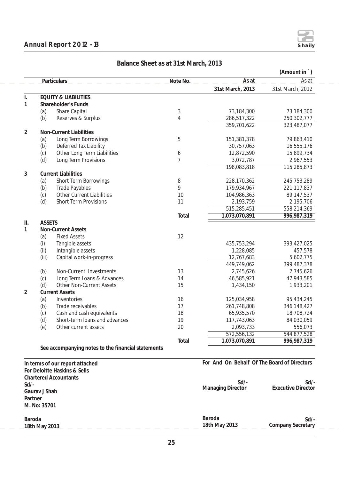#### **Annual Report 2012 - 13 Shaily**

**Baroda**

**18th May 2013**



|                 |               |                                                            |                |                                             | (Amount in `)             |
|-----------------|---------------|------------------------------------------------------------|----------------|---------------------------------------------|---------------------------|
|                 |               | Particulars                                                | Note No.       | As at                                       | As at                     |
|                 |               |                                                            |                | 31st March, 2013                            | 31st March, 2012          |
| I.              |               | <b>EQUITY &amp; LIABILITIES</b>                            |                |                                             |                           |
| 1               |               | Shareholder's Funds                                        |                |                                             |                           |
|                 | (a)           | Share Capital                                              | $\sqrt{3}$     | 73,184,300                                  | 73,184,300                |
|                 | (b)           | Reserves & Surplus                                         | $\overline{4}$ | 286,517,322                                 | 250,302,777               |
|                 |               |                                                            |                | 359,701,622                                 | 323,487,077               |
| $\overline{2}$  |               | Non-Current Liabilities                                    |                |                                             |                           |
|                 | (a)           | Long Term Borrowings                                       | 5              | 151,381,378                                 | 79,863,410                |
|                 | (b)           | Deferred Tax Liability                                     |                | 30,757,063                                  | 16,555,176                |
|                 | (c)           | Other Long Term Liabilities                                | 6              | 12,872,590                                  | 15,899,734                |
|                 | (d)           | Long Term Provisions                                       | $\overline{7}$ | 3,072,787                                   | 2,967,553                 |
|                 |               |                                                            |                | 198,083,818                                 | 115,285,873               |
| 3               |               | <b>Current Liabilities</b>                                 |                |                                             |                           |
|                 | (a)           | Short Term Borrowings                                      | 8              | 228,170,362                                 | 245,753,289               |
|                 | (b)           | <b>Trade Payables</b>                                      | 9              | 179,934,967                                 | 221, 117, 837             |
|                 | (c)           | <b>Other Current Liabilities</b>                           | 10             | 104,986,363                                 | 89,147,537                |
|                 | (d)           | <b>Short Term Provisions</b>                               | 11             | 2,193,759                                   | 2,195,706                 |
|                 |               |                                                            |                | 515,285,451                                 | 558,214,369               |
|                 |               |                                                            | Total          | 1,073,070,891                               | 996, 987, 319             |
| $\mathbf{II}$ . | <b>ASSETS</b> |                                                            |                |                                             |                           |
| 1               |               | <b>Non-Current Assets</b>                                  |                |                                             |                           |
|                 | (a)           | <b>Fixed Assets</b>                                        | 12             |                                             |                           |
|                 | (i)           | Tangible assets                                            |                | 435,753,294                                 | 393,427,025               |
|                 | (iii)         | Intangible assets                                          |                | 1,228,085                                   | 457,578                   |
|                 | (iii)         | Capital work-in-progress                                   |                | 12,767,683                                  | 5,602,775                 |
|                 |               |                                                            |                | 449,749,062                                 | 399,487,378               |
|                 | (b)           | Non-Current Investments                                    | 13             | 2,745,626                                   | 2,745,626                 |
|                 | (c)           | Long Term Loans & Advances                                 | 14             | 46,585,921                                  | 47,943,585                |
|                 | (d)           | <b>Other Non-Current Assets</b>                            | 15             | 1,434,150                                   | 1,933,201                 |
| 2               |               | <b>Current Assets</b>                                      |                |                                             |                           |
|                 | (a)           | Inventories                                                | 16             | 125,034,958                                 | 95,434,245                |
|                 | (b)           | Trade receivables                                          | 17             | 261,748,808                                 | 346,148,427               |
|                 | (c)           | Cash and cash equivalents<br>Short-term loans and advances | 18             | 65,935,570                                  | 18,708,724                |
|                 | (d)           |                                                            | 19<br>20       | 117,743,063                                 | 84,030,059                |
|                 | (e)           | Other current assets                                       |                | 2,093,733                                   | 556,073                   |
|                 |               |                                                            |                | 572,556,132                                 | 544,877,528               |
|                 |               | See accompanying notes to the financial statements         | Total          | 1,073,070,891                               | 996,987,319               |
|                 |               |                                                            |                |                                             |                           |
|                 |               | In terms of our report attached                            |                | For And On Behalf Of The Board of Directors |                           |
|                 |               | For Deloitte Haskins & Sells                               |                |                                             |                           |
|                 |               | <b>Chartered Accountants</b>                               |                |                                             |                           |
| $Sd$ /-         |               |                                                            |                | $Sd$ /-                                     | Sd/                       |
|                 | Gaurav J Shah |                                                            |                | <b>Managing Director</b>                    | <b>Executive Director</b> |
| Partner         |               |                                                            |                |                                             |                           |
|                 | M. No: 35701  |                                                            |                |                                             |                           |
|                 |               |                                                            |                |                                             |                           |
|                 |               |                                                            |                |                                             |                           |

#### **Balance Sheet as at 31st March, 2013**

**Baroda 18th May 2013**

**Company Secretary Sd/-**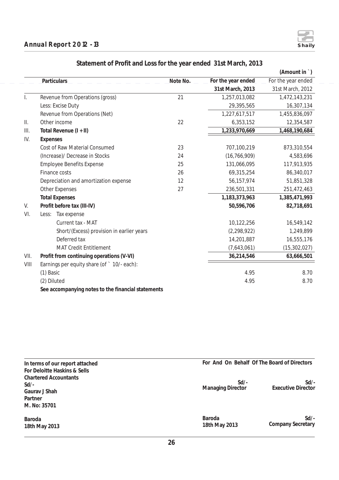

|              |                                                    |          |                    | (Amount in `)      |
|--------------|----------------------------------------------------|----------|--------------------|--------------------|
|              | Particulars_                                       | Note No. | For the year ended | For the year ended |
|              |                                                    |          | 31st March, 2013   | 31st March, 2012   |
| $\mathsf{L}$ | Revenue from Operations (gross)                    | 21       | 1,257,013,082      | 1,472,143,231      |
|              | Less: Excise Duty                                  |          | 29,395,565         | 16,307,134         |
|              | Revenue from Operations (Net)                      |          | 1,227,617,517      | 1,455,836,097      |
| Ⅱ.           | Other income                                       | 22       | 6,353,152          | 12,354,587         |
| III.         | Total Revenue $(I + II)$                           |          | 1,233,970,669      | 1,468,190,684      |
| IV.          | Expenses                                           |          |                    |                    |
|              | Cost of Raw Material Consumed                      | 23       | 707,100,219        | 873,310,554        |
|              | (Increase)/ Decrease in Stocks                     | 24       | (16, 766, 909)     | 4,583,696          |
|              | <b>Employee Benefits Expense</b>                   | 25       | 131,066,095        | 117,913,935        |
|              | Finance costs                                      | 26       | 69,315,254         | 86,340,017         |
|              | Depreciation and amortization expense              | 12       | 56,157,974         | 51,851,328         |
|              | <b>Other Expenses</b>                              | 27       | 236,501,331        | 251,472,463        |
|              | <b>Total Expenses</b>                              |          | 1,183,373,963      | 1,385,471,993      |
| V.           | Profit before tax (III-IV)                         |          | 50,596,706         | 82,718,691         |
| VI.          | Tax expense<br>Less:                               |          |                    |                    |
|              | Current tax - MAT                                  |          | 10,122,256         | 16,549,142         |
|              | Short/(Excess) provision in earlier years          |          | (2, 298, 922)      | 1,249,899          |
|              | Deferred tax                                       |          | 14,201,887         | 16,555,176         |
|              | <b>MAT Credit Entitlement</b>                      |          | (7,643,061)        | (15, 302, 027)     |
| VII.         | Profit from continuing operations (V-VI)           |          | 36,214,546         | 63,666,501         |
| VIII         | Earnings per equity share (of ` 10/- each):        |          |                    |                    |
|              | (1) Basic                                          |          | 4.95               | 8.70               |
|              | (2) Diluted                                        |          | 4.95               | 8.70               |
|              | See accompanying notes to the financial statements |          |                    |                    |

## **Statement of Profit and Loss for the year ended 31st March, 2013**

| In terms of our report attached                                                                                     | For And On Behalf Of The Board of Directors |                                     |  |  |
|---------------------------------------------------------------------------------------------------------------------|---------------------------------------------|-------------------------------------|--|--|
| For Deloitte Haskins & Sells<br><b>Chartered Accountants</b><br>$Sd$ /-<br>Gauray J Shah<br>Partner<br>M. No: 35701 | $Sd$ /-<br><b>Managing Director</b>         | $Sd$ /-<br>Executive Director       |  |  |
| Baroda<br>18th May 2013                                                                                             | Baroda<br>18th May 2013                     | $Sd$ /-<br><b>Company Secretary</b> |  |  |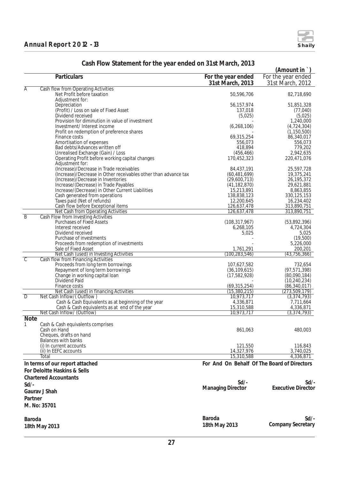|                         |                                                                               |                                             | (Amount in                   |
|-------------------------|-------------------------------------------------------------------------------|---------------------------------------------|------------------------------|
|                         | Particulars                                                                   | For the year ended                          | For the year ended           |
|                         |                                                                               | 31st March, 2013                            | 31st March, 2012             |
| A                       | Cash flow from Operating Activities                                           |                                             |                              |
|                         | Net Profit before taxation                                                    | 50,596,706                                  | 82,718,690                   |
|                         | Adjustment for:                                                               |                                             |                              |
|                         | Depreciation                                                                  | 56,157,974                                  | 51,851,328                   |
|                         | (Profit) / Loss on sale of Fixed Asset                                        | 137,018                                     | (77, 040)                    |
|                         | Dividend received                                                             | (5,025)                                     | (5,025)                      |
|                         | Provision for diminution in value of investment<br>Investment/Interest income |                                             | 1,240,000                    |
|                         | Profit on redemption of preference shares                                     | (6, 268, 106)                               | (4,724,304)<br>(1, 150, 500) |
|                         | Finance costs                                                                 | 69,315,254                                  | 86,340,017                   |
|                         | Amortisation of expenses                                                      | 556,073                                     | 556,073                      |
|                         | Bad debts/Advances written off                                                | 418,894                                     | 779,202                      |
|                         | Unrealised Exchange (Gain) / Loss                                             | (456, 466)                                  | 2,942,635                    |
|                         | Operating Profit before working capital changes                               | 170,452,323                                 | 220,471,076                  |
|                         | Adjustment for:                                                               |                                             |                              |
|                         | (Increase)/Decrease in Trade receivables                                      | 84,437,191                                  | 25,597,728                   |
|                         | (Increase)/Decrease in Other receivables other than advance tax               | (60, 481, 699)                              | 19,375,241                   |
|                         | (Increase)/Decrease in Inventories                                            | (29,600,713)                                | 26, 195, 372                 |
|                         | Increase/(Decrease) in Trade Payables                                         | (41, 182, 870)                              | 29,621,881                   |
|                         | Increase/(Decrease) in Other Current Liabilities                              | 15,213,891                                  | 8,863,855                    |
|                         | Cash generated from operations                                                | 138,838,123                                 | 330, 125, 153                |
|                         | Taxes paid (Net of refunds)                                                   | 12,200,645                                  | 16,234,402                   |
|                         | Cash flow before Exceptional items                                            | 126,637,478                                 | 313,890,751                  |
|                         | Net Cash from Operating Activities                                            | 126,637,478                                 | 313,890,751                  |
| $\overline{B}$          | Cash Flow from Investing Activities                                           |                                             |                              |
|                         | <b>Purchases of Fixed Assets</b>                                              | (108, 317, 967)                             | (53,892,396)                 |
|                         | Interest received                                                             | 6,268,105                                   | 4,724,304                    |
|                         | Dividend received                                                             | 5,025                                       | 5,025                        |
|                         | Purchase of investments                                                       |                                             | (19,500)<br>5,226,000        |
|                         | Proceeds from redemption of investments<br>Sale of Fixed Asset                | 1,761,291                                   | 200,201                      |
|                         | Net Cash (used) in Investing Activities                                       | (100, 283, 546)                             | (43, 756, 366)               |
| $\overline{\mathbb{C}}$ | Cash flow from Financing Activities                                           |                                             |                              |
|                         | Proceeds from long term borrowings                                            | 107,627,582                                 | 732,654                      |
|                         | Repayment of long term borrowings                                             | (36, 109, 615)                              | (97, 571, 398)               |
|                         | Change in working capital loan                                                | (17, 582, 928)                              | (80,090,184)                 |
|                         | Dividend Paid                                                                 |                                             | (10, 240, 234)               |
|                         | Finance costs                                                                 | (69, 315, 254)                              | (86, 340, 017)               |
|                         | Net Cash (used) in financing Activities                                       | (15, 380, 215)                              | (273, 509, 179)              |
| D                       | Net Cash Inflow/(Outflow)                                                     | 10,973,717                                  | (3,374,793)                  |
|                         | Cash & Cash Equivalents as at beginning of the year                           | 4,336,871                                   | 7,711,664                    |
|                         | Cash & Cash equivalents as at end of the year                                 | 15,310,588                                  | 4,336,871                    |
|                         | Net Cash Inflow/ (Outflow)                                                    | 10,973,717                                  | (3, 374, 793)                |
| <b>Note</b>             |                                                                               |                                             |                              |
| J.                      | Cash & Cash equivalents comprises                                             |                                             |                              |
|                         | Cash on Hand                                                                  | 861,063                                     | 480,003                      |
|                         | Cheques, drafts on hand                                                       |                                             |                              |
|                         | <b>Balances with banks</b>                                                    |                                             |                              |
|                         | (i) In current accounts                                                       | 121,550                                     | 116,843                      |
|                         | (ii) In EEFC accounts<br>Total                                                | 14,327,976<br>15,310,588                    | 3,740,025                    |
|                         |                                                                               |                                             | 4,336,871                    |
|                         | In terms of our report attached                                               | For And On Behalf Of The Board of Directors |                              |
|                         | For Deloitte Haskins & Sells                                                  |                                             |                              |
|                         | <b>Chartered Accountants</b>                                                  |                                             |                              |
| $Sd$ /-                 |                                                                               | $Sd$ /-                                     | Sd/                          |
|                         |                                                                               | <b>Managing Director</b>                    | <b>Executive Director</b>    |
|                         | Gaurav J Shah                                                                 |                                             |                              |
| Partner                 |                                                                               |                                             |                              |
|                         | M. No: 35701                                                                  |                                             |                              |
|                         |                                                                               |                                             |                              |
|                         |                                                                               | Baroda                                      | $Sd$ /-                      |
| Baroda                  |                                                                               |                                             |                              |
|                         | 18th May 2013                                                                 | 18th May 2013                               | Company Secretary            |

## **Cash Flow Statement for the year ended on 31st March, 2013**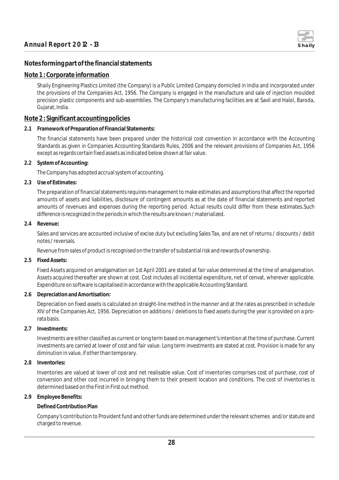

#### **Notes forming part of the financial statements**

#### **Note 1 : Corporate information**

Shaily Engineering Plastics Limited (the Company) is a Public Limited Company domiciled in India and incorporated under the provisions of the Companies Act, 1956. The Company is engaged in the manufacture and sale of injection moulded precision plastic components and sub-assemblies. The Company's manufacturing facilities are at Savli and Halol, Baroda, Gujarat, India.

#### **Note 2 : Significant accounting policies**

**2.1 Framework of Preparation of Financial Statements:**

The financial statements have been prepared under the historical cost convention in accordance with the Accounting Standards as given in Companies Accounting Standards Rules, 2006 and the relevant provisions of Companies Act, 1956 except as regards certain fixed assets as indicated below shown at fair value.

**2.2 System of Accounting:**

The Company has adopted accrual system of accounting.

**2.3 Use of Estimates:**

The preparation of financial statements requires management to make estimates and assumptions that affect the reported amounts of assets and liabilities, disclosure of contingent amounts as at the date of financial statements and reported amounts of revenues and expenses during the reporting period. Actual results could differ from these estimates.Such difference is recognized in the periods in which the results are known / materialized.

**2.4 Revenue:**

Sales and services are accounted inclusive of excise duty but excluding Sales Tax, and are net of returns / discounts / debit notes / reversals.

Revenue from sales of product is recognised on the transfer of substantial risk and rewards of ownership.

**2.5 Fixed Assets:**

Fixed Assets acquired on amalgamation on 1st April 2001 are stated at fair value determined at the time of amalgamation. Assets acquired thereafter are shown at cost. Cost includes all incidental expenditure, net of cenvat, wherever applicable. Expenditure on software is capitalised in accordance with the applicable Accounting Standard.

**2.6 Depreciation and Amortisation:**

Depreciation on fixed assets is calculated on straight-line method in the manner and at the rates as prescribed in schedule XIV of the Companies Act, 1956. Depreciation on additions / deletions to fixed assets during the year is provided on a prorata basis.

**2.7 Investments:**

Investments are either classified as current or long term based on management's intention at the time of purchase. Current investments are carried at lower of cost and fair value. Long term investments are stated at cost. Provision is made for any diminution in value, if other than temporary.

**2.8 Inventories:**

Inventories are valued at lower of cost and net realisable value. Cost of inventories comprises cost of purchase, cost of conversion and other cost incurred in bringing them to their present location and conditions. The cost of inventories is determined based on the First in First out method.

#### **2.9 Employee Benefits:**

#### **Defined Contribution Plan**

Company's contribution to Provident fund and other funds are determined under the relevant schemes and/or statute and charged to revenue.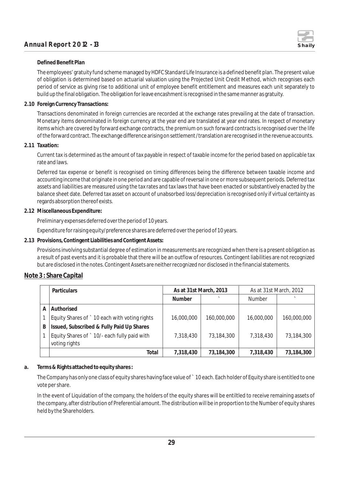

#### **Defined Benefit Plan**

The employees' gratuity fund scheme managed by HDFC Standard Life Insurance is a defined benefit plan. The present value of obligation is determined based on actuarial valuation using the Projected Unit Credit Method, which recognises each period of service as giving rise to additional unit of employee benefit entitlement and measures each unit separately to build up the final obligation. The obligation for leave encashment is recognised in the same manner as gratuity.

**2.10 Foreign Currency Transactions:**

Transactions denominated in foreign currencies are recorded at the exchange rates prevailing at the date of transaction. Monetary items denominated in foreign currency at the year end are translated at year end rates. In respect of monetary items which are covered by forward exchange contracts, the premium on such forward contracts is recognised over the life of the forward contract. The exchange difference arising on settlement /translation are recognised in the revenue accounts.

#### **2.11 Taxation:**

Current tax is determined as the amount of tax payable in respect of taxable income for the period based on applicable tax rate and laws.

Deferred tax expense or benefit is recognised on timing differences being the difference between taxable income and accounting income that originate in one period and are capable of reversal in one or more subsequent periods. Deferred tax assets and liabilities are measured using the tax rates and tax laws that have been enacted or substantively enacted by the balance sheet date. Deferred tax asset on account of unabsorbed loss/depreciation is recognised only if virtual certainty as regards absorption thereof exists.

#### **2.12 Miscellaneous Expenditure:**

Preliminary expenses deferred over the period of 10 years.

Expenditure for raising equity/preference shares are deferred over the period of 10 years.

**2.13 Provisions, Contingent Liabilities and Contigent Assets:**

Provisions involving substantial degree of estimation in measurements are recognized when there is a present obligation as a result of past events and it is probable that there will be an outflow of resources. Contingent liabilities are not recognized but are disclosed in the notes. Contingent Assets are neither recognized nor disclosed in the financial statements.

#### **Note 3 : Share Capital**

|   | Particulars                                   | As at 31st March, 2013 |             | As at 31st March, 2012 |             |
|---|-----------------------------------------------|------------------------|-------------|------------------------|-------------|
|   |                                               | <b>Number</b>          |             | <b>Number</b>          |             |
| A | Authorised                                    |                        |             |                        |             |
|   | Equity Shares of ` 10 each with voting rights | 16,000,000             | 160,000,000 | 16,000,000             | 160,000,000 |
| B | Issued, Subscribed & Fully Paid Up Shares     |                        |             |                        |             |
|   | Equity Shares of ` 10/- each fully paid with  | 7,318,430              | 73,184,300  | 7,318,430              | 73,184,300  |
|   | voting rights                                 |                        |             |                        |             |
|   | Total                                         | 7,318,430              | 73,184,300  | 7.318.430              | 73,184,300  |

**a. Terms & Rights attached to equity shares :**

The Company has only one class of equity shares having face value of ` 10 each. Each holder of Equity share is entitled to one vote per share.

In the event of Liquidation of the company, the holders of the equity shares will be entiltled to receive remaining assets of the company, after distribution of Preferential amount. The distribution will be in proportion to the Number of equity shares held by the Shareholders.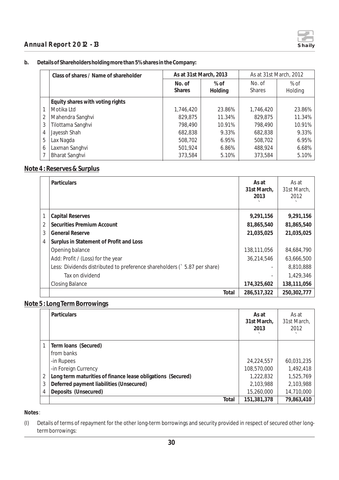

#### **b. Details of Shareholders holding more than 5% shares in the Company:**

|   | Class of shares / Name of shareholder | As at 31st March, 2013  |                 | As at 31st March, 2012  |                   |
|---|---------------------------------------|-------------------------|-----------------|-------------------------|-------------------|
|   |                                       | No. of<br><b>Shares</b> | % of<br>Holding | No. of<br><b>Shares</b> | $%$ of<br>Holding |
|   | Equity shares with voting rights      |                         |                 |                         |                   |
|   | Motika Ltd                            | 1,746,420               | 23.86%          | 1,746,420               | 23.86%            |
| 2 | Mahendra Sanghvi                      | 829,875                 | 11.34%          | 829,875                 | 11.34%            |
| 3 | Tilottama Sanghvi                     | 798,490                 | 10.91%          | 798.490                 | 10.91%            |
| 4 | Jayessh Shah                          | 682,838                 | 9.33%           | 682,838                 | 9.33%             |
| 5 | Lax Nagda                             | 508,702                 | 6.95%           | 508,702                 | 6.95%             |
| 6 | Laxman Sanghvi                        | 501,924                 | 6.86%           | 488,924                 | 6.68%             |
|   | <b>Bharat Sanghvi</b>                 | 373,584                 | 5.10%           | 373,584                 | 5.10%             |

#### **Note 4 : Reserves & Surplus**

|   | <b>Particulars</b>                                                       | As at<br>31st March,<br>2013 | As at<br>31st March,<br>2012 |
|---|--------------------------------------------------------------------------|------------------------------|------------------------------|
|   | Capital Reserves                                                         | 9,291,156                    | 9,291,156                    |
| 2 | Securities Premium Account                                               | 81,865,540                   | 81,865,540                   |
| 3 | <b>General Reserve</b>                                                   | 21,035,025                   | 21,035,025                   |
| 4 | Surplus in Statement of Profit and Loss                                  |                              |                              |
|   | Opening balance                                                          | 138,111,056                  | 84,684,790                   |
|   | Add: Profit / (Loss) for the year                                        | 36,214,546                   | 63,666,500                   |
|   | Less: Dividends distributed to preference shareholders (`5.87 per share) |                              | 8,810,888                    |
|   | Tax on dividend                                                          |                              | 1,429,346                    |
|   | <b>Closing Balance</b>                                                   | 174,325,602                  | 138,111,056                  |
|   | Total                                                                    | 286,517,322                  | 250,302,777                  |

#### **Note 5 : Long Term Borrowings**

|   | <b>Particulars</b>                                          | As at<br>31st March,<br>2013 | As at<br>31st March,<br>2012 |
|---|-------------------------------------------------------------|------------------------------|------------------------------|
|   | Term Ioans (Secured)                                        |                              |                              |
|   | from banks                                                  |                              |                              |
|   | -in Rupees                                                  | 24,224,557                   | 60,031,235                   |
|   | -in Foreign Currency                                        | 108,570,000                  | 1,492,418                    |
|   | Long term maturities of finance lease obligations (Secured) | 1,222,832                    | 1,525,769                    |
| 3 | Deferred payment liabilities (Unsecured)                    | 2,103,988                    | 2,103,988                    |
| 4 | Deposits (Unsecured)                                        | 15,260,000                   | 14,710,000                   |
|   | Total                                                       | 151,381,378                  | 79,863,410                   |

**Notes**:

(I) Details of terms of repayment for the other long-term borrowings and security provided in respect of secured other longterm borrowings: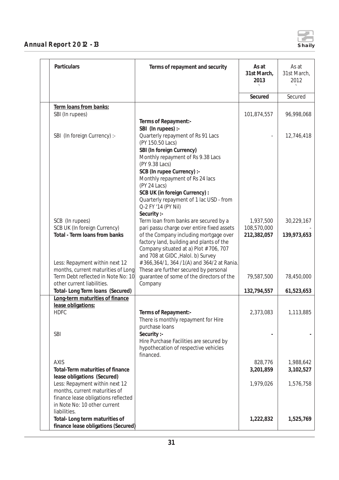

| Particulars                                                          | Terms of repayment and security                                                                                                  | As at<br>31st March,<br>2013 | As at<br>31st March,<br>2012 |
|----------------------------------------------------------------------|----------------------------------------------------------------------------------------------------------------------------------|------------------------------|------------------------------|
|                                                                      |                                                                                                                                  | Secured                      | Secured                      |
| Term loans from banks:                                               |                                                                                                                                  |                              |                              |
| SBI (In rupees)                                                      |                                                                                                                                  | 101,874,557                  | 96,998,068                   |
|                                                                      | Terms of Repayment:-                                                                                                             |                              |                              |
| SBI (In foreign Currency) :-                                         | SBI (In rupees) :-<br>Quarterly repayment of Rs 91 Lacs<br>(PY 150.50 Lacs)<br>SBI (In foreign Currency)                         |                              | 12,746,418                   |
|                                                                      | Monthly repayment of Rs 9.38 Lacs<br>(PY 9.38 Lacs)                                                                              |                              |                              |
|                                                                      | SCB (In rupee Currency) :-                                                                                                       |                              |                              |
|                                                                      | Monthly repayment of Rs 24 lacs<br>(PY 24 Lacs)                                                                                  |                              |                              |
|                                                                      | SCB UK (in foreign Currency) :<br>Quarterly repayment of 1 lac USD - from<br>Q-2 FY '14 (PY Nil)<br>Security :-                  |                              |                              |
| SCB (In rupees)                                                      | Term loan from banks are secured by a                                                                                            | 1,937,500                    | 30,229,167                   |
| SCB UK (In foreign Currency)<br>Total - Term Ioans from banks        | pari passu charge over entire fixed assets<br>of the Company including mortgage over<br>factory land, building and plants of the | 108,570,000<br>212,382,057   | 139,973,653                  |
|                                                                      | Company situated at a) Plot #706, 707<br>and 708 at GIDC, Halol. b) Survey                                                       |                              |                              |
| Less: Repayment within next 12<br>months, current maturities of Long | #366,364/1, 364 /1(A) and 364/2 at Rania.<br>These are further secured by personal                                               |                              |                              |
| Term Debt reflected in Note No: 10<br>other current liabilities.     | guarantee of some of the directors of the<br>Company                                                                             | 79,587,500                   | 78,450,000                   |
| Total- Long Term Ioans (Secured)                                     |                                                                                                                                  | 132,794,557                  | 61,523,653                   |
| Long-term maturities of finance                                      |                                                                                                                                  |                              |                              |
| lease obligations:<br><b>HDFC</b>                                    |                                                                                                                                  | 2,373,083                    |                              |
|                                                                      | Terms of Repayment:-<br>There is monthly repayment for Hire<br>purchase loans                                                    |                              | 1,113,885                    |
| <b>SBI</b>                                                           | Security :-                                                                                                                      |                              |                              |
|                                                                      | Hire Purchase Facilities are secured by<br>hypothecation of respective vehicles<br>financed.                                     |                              |                              |
| <b>AXIS</b>                                                          |                                                                                                                                  | 828,776                      | 1,988,642                    |
| Total-Term maturities of finance                                     |                                                                                                                                  | 3,201,859                    | 3,102,527                    |
| lease obligations (Secured)<br>Less: Repayment within next 12        |                                                                                                                                  | 1,979,026                    | 1,576,758                    |
| months, current maturities of                                        |                                                                                                                                  |                              |                              |
| finance lease obligations reflected<br>in Note No: 10 other current  |                                                                                                                                  |                              |                              |
| liabilities.                                                         |                                                                                                                                  |                              |                              |
| Total-Long term maturities of<br>finance lease obligations (Secured) |                                                                                                                                  | 1,222,832                    | 1,525,769                    |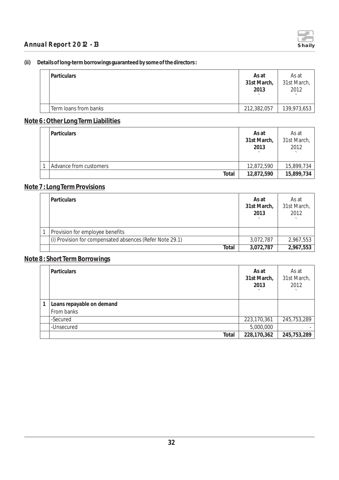

#### **(ii) Details of long-term borrowings guaranteed by some of the directors :**

| l Particulars         | As at<br>31st March,<br>2013 | As at<br>31st March,<br>2012 |
|-----------------------|------------------------------|------------------------------|
| Term loans from banks | 212,382,057                  | 139,973,653                  |

#### **Note 6 : Other Long Term Liabilities**

| <b>Particulars</b>     | As at<br>31st March,<br>2013 | As at<br>31st March,<br>2012 |
|------------------------|------------------------------|------------------------------|
| Advance from customers | 12,872,590                   | 15,899,734                   |
| Total                  | 12,872,590                   | 15,899,734                   |

## **Note 7 : Long Term Provisions**

| Particulars                                              | As at<br>31st March,<br>2013 | As at<br>31st March,<br>2012 |
|----------------------------------------------------------|------------------------------|------------------------------|
| Provision for employee benefits                          |                              |                              |
| (i) Provision for compensated absences (Refer Note 29.1) | 3,072,787                    | 2,967,553                    |
| Total                                                    | 3,072,787                    | 2,967,553                    |

### **Note 8 : Short Term Borrowings**

| Particulars               | As at<br>31st March,<br>2013 | As at<br>31st March,<br>2012 |
|---------------------------|------------------------------|------------------------------|
| Loans repayable on demand |                              |                              |
| From banks                |                              |                              |
| -Secured                  | 223,170,361                  | 245,753,289                  |
| -Unsecured                | 5,000,000                    |                              |
| Total                     | 228,170,362                  | 245,753,289                  |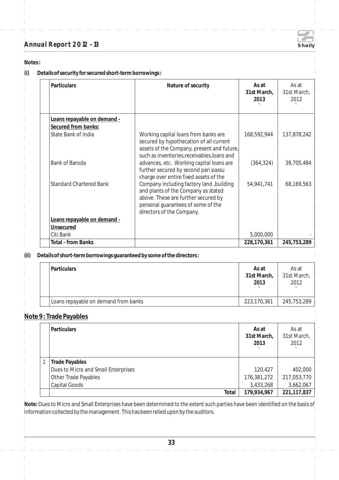**Notes :**

**(i) Details of security for secured short-term borrowings :**

| Particulars                    | Nature of security                                                                                                                                                                        | As at<br>31st March,<br>2013 | As at<br>31st March,<br>2012 |
|--------------------------------|-------------------------------------------------------------------------------------------------------------------------------------------------------------------------------------------|------------------------------|------------------------------|
| Loans repayable on demand -    |                                                                                                                                                                                           |                              |                              |
| Secured from banks:            |                                                                                                                                                                                           |                              |                              |
| State Bank of India            | Working capital loans from banks are<br>secured by hypothecation of all current<br>assets of the Company, present and future,<br>such as inventories, receivables, loans and              | 168,592,944                  | 137,878,242                  |
| Bank of Baroda                 | advances, etc. Working capital loans are<br>further secured by second pari passu<br>charge over entire fixed assets of the                                                                | (364, 324)                   | 39,705,484                   |
| <b>Standard Chartered Bank</b> | Company including factory land, building<br>and plants of the Company as stated<br>above. These are further secured by<br>personal guarantees of some of the<br>directors of the Company. | 54,941,741                   | 68,169,563                   |
| Loans repayable on demand -    |                                                                                                                                                                                           |                              |                              |
| Unsecured                      |                                                                                                                                                                                           |                              |                              |
| Citi Bank                      |                                                                                                                                                                                           | 5,000,000                    |                              |
| <b>Total - from Banks</b>      |                                                                                                                                                                                           | 228,170,361                  | 245,753,289                  |

**(ii) Details of short-term borrowings guaranteed by some of the directors :** 

|  | l Particulars                        | As at<br>31st March,<br>2013 | As at<br>31st March,<br>2012 |
|--|--------------------------------------|------------------------------|------------------------------|
|  | Loans repayable on demand from banks | 223,170,361                  | 245,753,289                  |

## **Note 9 : Trade Payables**

| Particulars                         | As at<br>31st March,<br>2013 | As at<br>31st March,<br>2012 |
|-------------------------------------|------------------------------|------------------------------|
| <b>Trade Payables</b>               |                              |                              |
| Dues to Micro and Small Enterprises | 120,427                      | 402,000                      |
| Other Trade Payables                | 176,381,272                  | 217,053,770                  |
| Capital Goods                       | 3,433,268                    | 3,662,067                    |
| Total                               | 179,934,967                  | 221, 117, 837                |

**Note:** Dues to Micro and Small Enterprises have been determined to the extent such parties have been identified on the basis of information collected by the management. This has been relied upon by the auditors.

 $\overline{\phantom{a}}$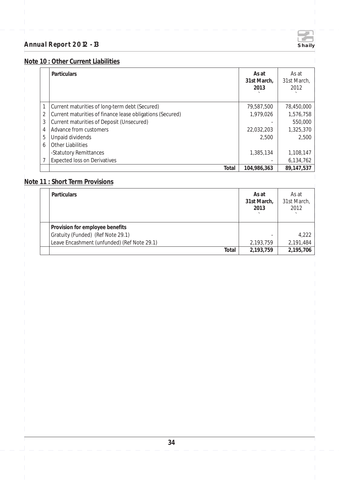

## **Note 10 : Other Current Liabilities**

|   | <b>Particulars</b>                                        | As at<br>31st March.<br>2013 | As at<br>31st March,<br>2012 |
|---|-----------------------------------------------------------|------------------------------|------------------------------|
| 1 | Current maturities of long-term debt (Secured)            | 79,587,500                   | 78,450,000                   |
| 2 | Current maturities of finance lease obligations (Secured) | 1,979,026                    | 1,576,758                    |
| 3 | Current maturities of Deposit (Unsecured)                 |                              | 550,000                      |
| 4 | Advance from customers                                    | 22,032,203                   | 1,325,370                    |
| 5 | Unpaid dividends                                          | 2.500                        | 2,500                        |
| 6 | <b>Other Liabilities</b>                                  |                              |                              |
|   | -Statutory Remittances                                    | 1,385,134                    | 1,108,147                    |
|   | <b>Expected loss on Derivatives</b>                       |                              | 6,134,762                    |
|   | Total                                                     | 104,986,363                  | 89,147,537                   |

## **Note 11 : Short Term Provisions**

| Particulars                                 | As at<br>31st March,<br>2013 | As at<br>31st March,<br>2012 |
|---------------------------------------------|------------------------------|------------------------------|
| Provision for employee benefits             |                              |                              |
| Gratuity (Funded) (Ref Note 29.1)           |                              | 4,222                        |
| Leave Encashment (unfunded) (Ref Note 29.1) | 2,193,759                    | 2,191,484                    |
| Total                                       | 2,193,759                    | 2,195,706                    |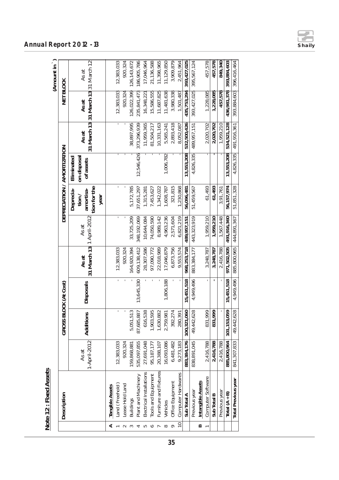| č<br>てく |  |
|---------|--|
|         |  |
| ٢<br>ł  |  |
|         |  |

|                   |                            |                          |                       |            |                                     |               |                                                         |                                        |                                              |               | (Amount in              |
|-------------------|----------------------------|--------------------------|-----------------------|------------|-------------------------------------|---------------|---------------------------------------------------------|----------------------------------------|----------------------------------------------|---------------|-------------------------|
|                   | Description                |                          | GROSS BLOCK (At Cost) |            |                                     |               | DEPRECIATION / AMORTIZATION                             |                                        |                                              | NET BLOCK     |                         |
|                   |                            | 1-April-2012<br>As at    | Additions             | Disposals  | 31 March 13   1 April-2012<br>As at | As at         | tion for the<br>amortisa-<br>Deprecia-<br>tion/<br>year | on disposal<br>Eliminated<br>of assets | 31 March 13 31 March 13 31 March 12<br>As at | <b>As at</b>  | As at                   |
| ⋖                 | Tangible Assets            |                          |                       |            |                                     |               |                                                         |                                        |                                              |               |                         |
|                   | Land (Freehold)            | 12,383,033               |                       |            | 12,383,033                          |               |                                                         |                                        |                                              | 12,383,033    | 12,383,033              |
|                   | Lease Hold Land            | 920,324                  |                       |            | 920,324                             |               |                                                         |                                        |                                              | 920,324       | 920,324                 |
|                   | Buildings                  | 159,868,881              | 5,051,513             |            | 164,920,394                         | 33,725,209    | 5,172,785                                               |                                        | 38,897,995                                   | 126,022,399   | 126, 143, 672           |
|                   | Plant and Machinery        | 535,097,855              | 87,685,887            | 13,645,330 | 609, 138, 412                       | 348, 192, 069 | 37,651,297                                              | 12,546,426                             | 373,296,939                                  | 235, 841, 473 | 186,905,786             |
|                   | Electrical Installations   | 27,691,048               | 616,538               |            | 28,307,586                          | 10,644,084    | 1,315,281                                               |                                        | 11,959,365                                   | 16,348,221    | 17,046,964              |
| ∽                 | Tools and Equipment        | 95,187,177               | 1,903,595             |            | 97,090,772                          | 74,050,590    | 7,453,627                                               |                                        | 81,504,217                                   | 15,586,555    | 21,136,588              |
|                   | Furniture and Fixtures     | 20,388,107<br>16,093,086 | 1,630,882             |            | 22,018,989                          | 8,989,142     | 1,342,022                                               |                                        | 10,331,163                                   | 11,687,825    | 11,398,965              |
|                   | Vehicles                   |                          | 2,759,981             | 1,806,188  | 17,046,879                          | 4,963,236     | 1,608,787                                               | 1,006,782                              | 5,565,241                                    | 11,481,638    | 11,129,850              |
|                   | Office Equipment           | 6,481,482                | 392,274               |            | 6,873,756                           | 2,571,604     | 321,815                                                 |                                        | 2,893,418                                    | 3,980,338     | 3,909,879               |
| $\circ$           | Computer Hardwares         | 9,273,183                | 280,391               |            | 9,553,574                           | 6,821,219     | 1,230,868                                               |                                        | 8,052,087                                    | 1,501,487     | 2,451,964               |
|                   | Sub Total A                | 883,384,176              | 100.321.060           | 15,451,518 | 968,253,718                         | 489,957,151   | 56,096,481                                              | 13,553,208                             | 532.500,426                                  | 435.753.294   | 393,427,025             |
|                   | Previous year              | 838,891,045              | 49,442,628            | 4,949,496  | 883,384,177                         | 443,323,919   | 51,459,567                                              | 4,826,335                              | 489,957,151                                  | 393,427,025   | 395,567,124             |
| $\mathbf{\Omega}$ | Intangible Assets          |                          |                       |            |                                     |               |                                                         |                                        |                                              |               |                         |
|                   | Computer Software          | 2,416,788                | 831,999               |            | 3,248,787                           | 1,959,210     | 61,493                                                  |                                        | 2,020,702                                    | 1,228,085     | 457,578                 |
|                   | Sub Total B                | 2,416,788                | 831,999               |            | 3,248,787                           | 1,959,210     | 61,493                                                  |                                        | 2,020,702                                    | 1,228,085     | 457.578                 |
|                   | Previous year              | 2,416,788                |                       |            | 2,416,788                           | 1,567,448     | 3,91,761                                                |                                        | 1,959,210                                    | 457,578       | 849,340                 |
|                   | Total $(A + B)$            | 885,800,964              | 101, 153, 059         | 15,451,518 | 971,502,505                         | 491,916,360   | 56,157,974                                              | 13,553,208                             | 534,521,128                                  | 436,981,378   | 393,884,603             |
|                   | <b>Total Previous year</b> | 841,307,833              | 49,442,628            | 4,949,496  | 885,800,965                         | 444,891,367   | 51,851,328                                              |                                        | 4,826,335 491,916,361                        |               | 393,884,603 396,416,464 |

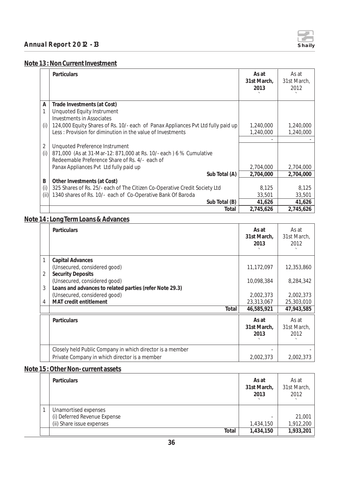

#### **Note 13 : Non Current Investment**

|       | <b>Particulars</b>                                                               | As at<br>31st March,<br>2013 | As at<br>31st March,<br>2012 |
|-------|----------------------------------------------------------------------------------|------------------------------|------------------------------|
| A     | Trade Investments (at Cost)                                                      |                              |                              |
| 1     | <b>Unquoted Equity Instrument</b>                                                |                              |                              |
|       | <b>Investments in Associates</b>                                                 |                              |                              |
| (i)   | 124,000 Equity Shares of Rs. 10/- each of Panax Appliances Pvt Ltd fully paid up | 1,240,000                    | 1,240,000                    |
|       | Less: Provision for diminution in the value of Investments                       | 1,240,000                    | 1,240,000                    |
|       |                                                                                  |                              |                              |
| 2     | Unquoted Preference Instrument                                                   |                              |                              |
| (i)   | 871,000 (As at 31-Mar-12: 871,000 at Rs. 10/- each) 6 % Cumulative               |                              |                              |
|       | Redeemable Preference Share of Rs. 4/- each of                                   |                              |                              |
|       | Panax Appliances Pvt Ltd fully paid up                                           | 2,704,000                    | 2,704,000                    |
|       | Sub Total (A)                                                                    | 2,704,000                    | 2,704,000                    |
| B     | Other Investments (at Cost)                                                      |                              |                              |
| (i)   | 325 Shares of Rs. 25/- each of The Citizen Co-Operative Credit Society Ltd       | 8,125                        | 8,125                        |
| (iii) | 1340 shares of Rs. 10/- each of Co-Operative Bank Of Baroda                      | 33,501                       | 33,501                       |
|       | Sub Total (B)                                                                    | 41,626                       | 41,626                       |
|       | Total                                                                            | 2,745,626                    | 2,745,626                    |

## **Note 14 : Long Term Loans & Advances**

|   | <b>Particulars</b>                                        | As at<br>31st March,<br>2013 | As at<br>31st March,<br>2012 |
|---|-----------------------------------------------------------|------------------------------|------------------------------|
| 1 | Capital Advances                                          |                              |                              |
|   | (Unsecured, considered good)                              | 11,172,097                   | 12,353,860                   |
| 2 | <b>Security Deposits</b>                                  |                              |                              |
|   | (Unsecured, considered good)                              | 10,098,384                   | 8,284,342                    |
| 3 | Loans and advances to related parties (refer Note 29.3)   |                              |                              |
|   | (Unsecured, considered good)                              | 2,002,373                    | 2,002,373                    |
| 4 | MAT credit entitlement                                    | 23,313,067                   | 25,303,010                   |
|   | Total                                                     | 46,585,921                   | 47,943,585                   |
|   | <b>Particulars</b>                                        | As at                        | As at                        |
|   |                                                           | 31st March,                  | 31st March,                  |
|   |                                                           | 2013                         | 2012                         |
|   |                                                           |                              |                              |
|   | Closely held Public Company in which director is a member |                              |                              |
|   | Private Company in which director is a member             | 2,002,373                    | 2,002,373                    |

#### **Note 15 : Other Non- current assets**

| <b>Particulars</b>           | As at<br>31st March,<br>2013 | As at<br>31st March,<br>2012 |
|------------------------------|------------------------------|------------------------------|
| Unamortised expenses         |                              |                              |
| (i) Deferred Revenue Expense |                              | 21,001                       |
| (ii) Share issue expenses    | 1,434,150                    | 1,912,200                    |
| Total                        | 1,434,150                    | 1,933,201                    |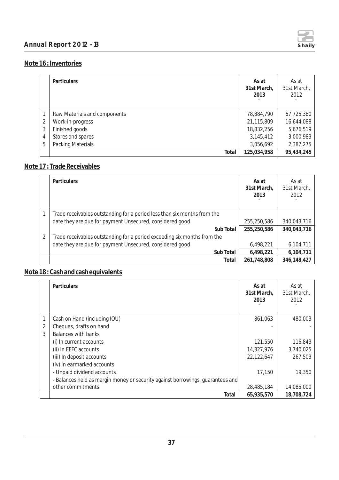

### **Note 16 : Inventories**

|   | <b>Particulars</b>           | As at<br>31st March,<br>2013 | As at<br>31st March,<br>2012 |
|---|------------------------------|------------------------------|------------------------------|
|   | Raw Materials and components | 78,884,790                   | 67,725,380                   |
| 2 | Work-in-progress             | 21,115,809                   | 16,644,088                   |
| 3 | Finished goods               | 18,832,256                   | 5,676,519                    |
| 4 | Stores and spares            | 3,145,412                    | 3,000,983                    |
| 5 | <b>Packing Materials</b>     | 3,056,692                    | 2,387,275                    |
|   | Total                        | 125,034,958                  | 95,434,245                   |

## **Note 17 : Trade Receivables**

|                | <b>Particulars</b>                                                       | As at<br>31st March,<br>2013 | As at<br>31st March,<br>2012 |
|----------------|--------------------------------------------------------------------------|------------------------------|------------------------------|
|                | Trade receivables outstanding for a period less than six months from the |                              |                              |
|                | date they are due for payment Unsecured, considered good                 | 255,250,586                  | 340,043,716                  |
|                | Sub Total                                                                | 255,250,586                  | 340,043,716                  |
| $\overline{2}$ | Trade receivables outstanding for a period exceeding six months from the |                              |                              |
|                | date they are due for payment Unsecured, considered good                 | 6,498,221                    | 6,104,711                    |
|                | Sub Total                                                                | 6,498,221                    | 6,104,711                    |
|                | Total                                                                    | 261,748,808                  | 346,148,427                  |

## **Note 18 : Cash and cash equivalents**

|   | Particulars                                                                    | As at<br>31st March,<br>2013 | As at<br>31st March,<br>2012 |
|---|--------------------------------------------------------------------------------|------------------------------|------------------------------|
|   | Cash on Hand (including IOU)                                                   | 861,063                      | 480,003                      |
| 2 | Cheques, drafts on hand                                                        |                              |                              |
| 3 | Balances with banks                                                            |                              |                              |
|   | (i) In current accounts                                                        | 121,550                      | 116,843                      |
|   | (ii) In EEFC accounts                                                          | 14,327,976                   | 3,740,025                    |
|   | (iii) In deposit accounts                                                      | 22,122,647                   | 267,503                      |
|   | (iv) In earmarked accounts                                                     |                              |                              |
|   | - Unpaid dividend accounts                                                     | 17,150                       | 19,350                       |
|   | - Balances held as margin money or security against borrowings, guarantees and |                              |                              |
|   | other commitments                                                              | 28,485,184                   | 14,085,000                   |
|   | Total                                                                          | 65,935,570                   | 18,708,724                   |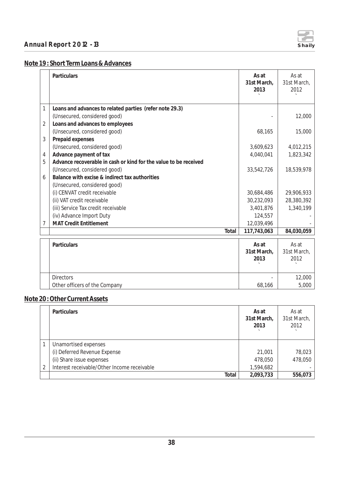

## **Note 19 : Short Term Loans & Advances**

|   | Particulars                                                      | As at<br>31st March,<br>2013 | As at<br>31st March,<br>2012 |
|---|------------------------------------------------------------------|------------------------------|------------------------------|
| 1 | Loans and advances to related parties (refer note 29.3)          |                              |                              |
|   | (Unsecured, considered good)                                     |                              | 12,000                       |
| 2 | Loans and advances to employees                                  |                              |                              |
|   | (Unsecured, considered good)                                     | 68,165                       | 15,000                       |
| 3 | Prepaid expenses                                                 |                              |                              |
|   | (Unsecured, considered good)                                     | 3,609,623                    | 4,012,215                    |
| 4 | Advance payment of tax                                           | 4,040,041                    | 1,823,342                    |
| 5 | Advance recoverable in cash or kind for the value to be received |                              |                              |
|   | (Unsecured, considered good)                                     | 33,542,726                   | 18,539,978                   |
| 6 | Balance with excise & indirect tax authorities                   |                              |                              |
|   | (Unsecured, considered good)                                     |                              |                              |
|   | (i) CENVAT credit receivable                                     | 30,684,486                   | 29,906,933                   |
|   | (ii) VAT credit receivable                                       | 30,232,093                   | 28,380,392                   |
|   | (iii) Service Tax credit receivable                              | 3,401,876                    | 1,340,199                    |
|   | (iv) Advance Import Duty                                         | 124,557                      |                              |
| 7 | <b>MAT Credit Entitlement</b>                                    | 12,039,496                   |                              |
|   | Total                                                            | 117,743,063                  | 84,030,059                   |
|   | Particulars                                                      | As at                        | As at                        |
|   |                                                                  | 31st March,                  | 31st March,                  |
|   |                                                                  | 2013                         | 2012                         |
|   |                                                                  |                              |                              |
|   | <b>Directors</b>                                                 |                              | 12,000                       |
|   | Other officers of the Company                                    | 68,166                       | 5,000                        |

## **Note 20 : Other Current Assets**

|   | Particulars                                 | As at<br>31st March,<br>2013 | As at<br>31st March,<br>2012 |
|---|---------------------------------------------|------------------------------|------------------------------|
|   | Unamortised expenses                        |                              |                              |
|   | (i) Deferred Revenue Expense                | 21,001                       | 78,023                       |
|   | (ii) Share issue expenses                   | 478,050                      | 478,050                      |
| 2 | Interest receivable/Other Income receivable | 1,594,682                    |                              |
|   | Total                                       | 2,093,733                    | 556,073                      |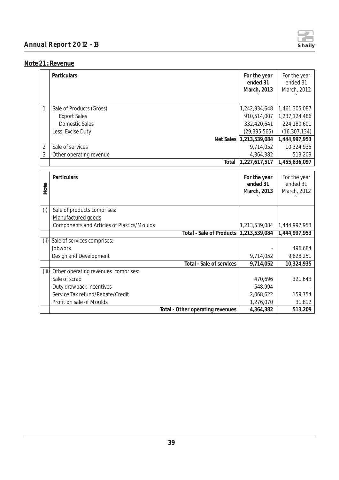

## **Note 21 : Revenue**

|       | Particulars                                | For the year<br>ended 31<br>March, 2013 | For the year<br>ended 31<br>March, 2012 |
|-------|--------------------------------------------|-----------------------------------------|-----------------------------------------|
| 1     | Sale of Products (Gross)                   | 1,242,934,648                           | 1,461,305,087                           |
|       | <b>Export Sales</b>                        | 910,514,007                             | 1,237,124,486                           |
|       | <b>Domestic Sales</b>                      | 332,420,641                             | 224,180,601                             |
|       | Less: Excise Duty                          | (29, 395, 565)                          | (16, 307, 134)                          |
|       | Net Sales                                  | 1,213,539,084                           | 1,444,997,953                           |
| 2     | Sale of services                           | 9,714,052                               | 10,324,935                              |
| 3     | Other operating revenue                    | 4,364,382                               | 513,209                                 |
|       | Total                                      | 1,227,617,517                           | 1,455,836,097                           |
|       |                                            |                                         |                                         |
|       | Particulars                                | For the year                            | For the year                            |
| Note  |                                            | ended 31                                | ended 31                                |
|       |                                            | March, 2013                             | March, 2012                             |
|       |                                            |                                         |                                         |
| (i)   | Sale of products comprises:                |                                         |                                         |
|       | Manufactured goods                         |                                         |                                         |
|       | Components and Articles of Plastics/Moulds | 1,213,539,084                           | 1,444,997,953                           |
|       | <b>Total - Sale of Products</b>            | 1,213,539,084                           | 1,444,997,953                           |
| (iii) | Sale of services comprises:                |                                         |                                         |
|       | Jobwork                                    |                                         | 496,684                                 |
|       | Design and Development                     | 9,714,052                               | 9,828,251                               |
|       | <b>Total - Sale of services</b>            | 9,714,052                               | 10,324,935                              |
| (iii) | Other operating revenues comprises:        |                                         |                                         |
|       | Sale of scrap                              | 470,696                                 | 321,643                                 |
|       | Duty drawback incentives                   | 548,994                                 |                                         |
|       | Service Tax refund/Rebate/Credit           | 2,068,622                               | 159,754                                 |
|       | Profit on sale of Moulds                   | 1,276,070                               | 31,812                                  |
|       | Total - Other operating revenues           | 4,364,382                               | 513,209                                 |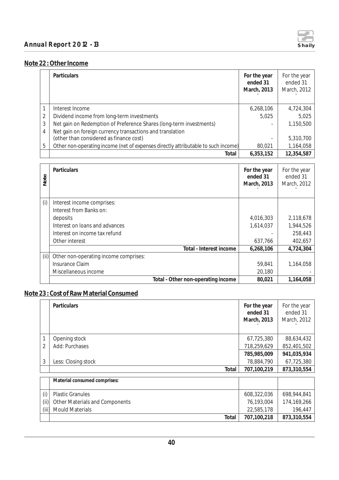

#### **Note 22 : Other Income**

|                               | Particulars                                                                                                                                                                                                                                  | For the year<br>ended 31<br>March, 2013        | For the year<br>ended 31<br>March, 2012                   |
|-------------------------------|----------------------------------------------------------------------------------------------------------------------------------------------------------------------------------------------------------------------------------------------|------------------------------------------------|-----------------------------------------------------------|
| 1<br>$\overline{2}$<br>3<br>4 | Interest Income<br>Dividend income from long-term investments<br>Net gain on Redemption of Preference Shares (long-term investments)<br>Net gain on foreign currency transactions and translation<br>(other than considered as finance cost) | 6,268,106<br>5,025                             | 4,724,304<br>5,025<br>1,150,500<br>5,310,700              |
| 5                             | Other non-operating income (net of expenses directly attributable to such income)                                                                                                                                                            | 80,021                                         | 1,164,058                                                 |
|                               | Total                                                                                                                                                                                                                                        | 6,353,152                                      | 12,354,587                                                |
|                               | Particulars                                                                                                                                                                                                                                  | For the year                                   | For the year                                              |
| Note                          |                                                                                                                                                                                                                                              | ended 31<br>March, 2013                        | ended 31<br>March, 2012                                   |
| (i)<br>(iii)                  | Interest income comprises:<br>Interest from Banks on:<br>deposits<br>Interest on loans and advances<br>Interest on income tax refund<br>Other interest<br>Total - Interest income<br>Other non-operating income comprises:                   | 4,016,303<br>1,614,037<br>637,766<br>6,268,106 | 2,118,678<br>1,944,526<br>258,443<br>402,657<br>4,724,304 |

## **Note 23 : Cost of Raw Material Consumed**

|       | Particulars                           | For the year<br>ended 31<br>March, 2013 | For the year<br>ended 31<br>March, 2012 |
|-------|---------------------------------------|-----------------------------------------|-----------------------------------------|
| 1     | Opening stock                         | 67,725,380                              | 88,634,432                              |
| 2     | Add: Purchases                        | 718,259,629                             | 852,401,502                             |
|       |                                       | 785,985,009                             | 941,035,934                             |
| 3     | Less: Closing stock                   | 78,884,790                              | 67,725,380                              |
|       | Total                                 | 707,100,219                             | 873,310,554                             |
|       | Material consumed comprises:          |                                         |                                         |
| (i)   | <b>Plastic Granules</b>               | 608,322,036                             | 698,944,841                             |
| (i)   | <b>Other Materials and Components</b> | 76,193,004                              | 174,169,266                             |
| (iii) | <b>Mould Materials</b>                | 22,585,178                              | 196,447                                 |
|       | Total                                 | 707,100,218                             | 873,310,554                             |

Insurance Claim 59,841 1,164,058

Total - Other non-operating income 80,021 1,164,058

Miscellaneous income 20,180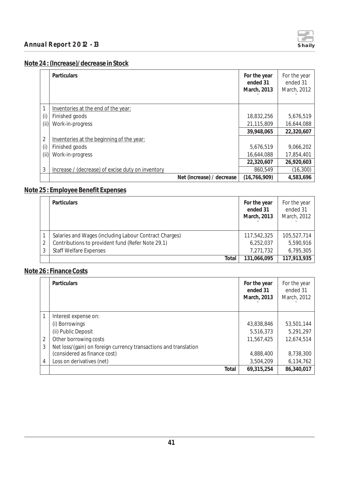

## **Note 24 : (Increase)/decrease in Stock**

|     | <b>Particulars</b>                                | For the year<br>ended 31<br>March, 2013 | For the year<br>ended 31<br>March, 2012 |
|-----|---------------------------------------------------|-----------------------------------------|-----------------------------------------|
|     | Inventories at the end of the year:               |                                         |                                         |
| (i) | Finished goods                                    | 18,832,256                              | 5,676,519                               |
| (i) | Work-in-progress                                  | 21,115,809                              | 16,644,088                              |
|     |                                                   | 39,948,065                              | 22,320,607                              |
| 2   | Inventories at the beginning of the year:         |                                         |                                         |
| (i) | Finished goods                                    | 5,676,519                               | 9,066,202                               |
| (i) | Work-in-progress                                  | 16,644,088                              | 17,854,401                              |
|     |                                                   | 22,320,607                              | 26,920,603                              |
| 3   | Increase / (decrease) of excise duty on inventory | 860,549                                 | (16, 300)                               |
|     | Net (increase) / decrease                         | (16, 766, 909)                          | 4,583,696                               |

## **Note 25 : Employee Benefit Expenses**

| Particulars                                            | For the year<br>ended 31<br>March, 2013 | For the year<br>ended 31<br>March, 2012 |
|--------------------------------------------------------|-----------------------------------------|-----------------------------------------|
| Salaries and Wages (including Labour Contract Charges) | 117,542,325                             | 105,527,714                             |
| Contributions to provident fund (Refer Note 29.1)      | 6,252,037                               | 5,590,916                               |
| <b>Staff Welfare Expenses</b>                          | 7,271,732                               | 6,795,305                               |
| Total                                                  | 131,066,095                             | 117,913,935                             |

## **Note 26 : Finance Costs**

|   | Particulars                                                      | For the year<br>ended 31<br>March, 2013 | For the year<br>ended 31<br>March, 2012 |
|---|------------------------------------------------------------------|-----------------------------------------|-----------------------------------------|
|   | Interest expense on:                                             |                                         |                                         |
|   | (i) Borrowings                                                   | 43,838,846                              | 53,501,144                              |
|   | (ii) Public Deposit                                              | 5,516,373                               | 5,291,297                               |
| 2 | Other borrowing costs                                            | 11,567,425                              | 12,674,514                              |
| 3 | Net loss/(gain) on foreign currency transactions and translation |                                         |                                         |
|   | (considered as finance cost)                                     | 4,888,400                               | 8,738,300                               |
| 4 | Loss on derivatives (net)                                        | 3,504,209                               | 6,134,762                               |
|   | Total                                                            | 69,315,254                              | 86,340,017                              |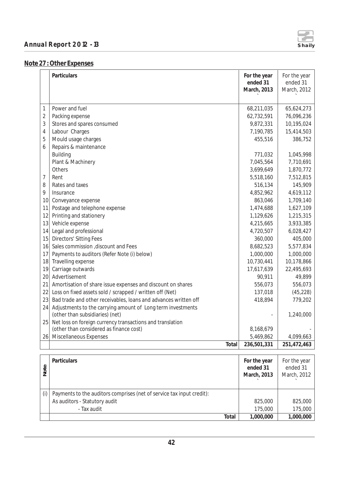

## **Note 27 : Other Expenses**

|                | Particulars                                                     | For the year<br>ended 31<br>March, 2013 | For the year<br>ended 31<br>March, 2012 |
|----------------|-----------------------------------------------------------------|-----------------------------------------|-----------------------------------------|
|                |                                                                 |                                         |                                         |
| 1              | Power and fuel                                                  | 68,211,035                              | 65,624,273                              |
| $\overline{2}$ | Packing expense                                                 | 62,732,591                              | 76,096,236                              |
| 3              | Stores and spares consumed                                      | 9,872,331                               | 10,195,024                              |
| $\overline{4}$ | Labour Charges                                                  | 7,190,785                               | 15,414,503                              |
| 5              | Mould usage charges                                             | 455,516                                 | 386,752                                 |
| 6              | Repairs & maintenance                                           |                                         |                                         |
|                | <b>Building</b>                                                 | 771,032                                 | 1,045,998                               |
|                | Plant & Machinery                                               | 7,045,564                               | 7,710,691                               |
|                | Others                                                          | 3,699,649                               | 1,870,772                               |
| 7              | Rent                                                            | 5,518,160                               | 7,512,815                               |
| 8              | Rates and taxes                                                 | 516,134                                 | 145,909                                 |
| 9              | Insurance                                                       | 4,852,962                               | 4,619,112                               |
| 10             | Conveyance expense                                              | 863,046                                 | 1,709,140                               |
| 11             | Postage and telephone expense                                   | 1,474,688                               | 1,627,109                               |
| 12             | Printing and stationery                                         | 1,129,626                               | 1,215,315                               |
| 13             | Vehicle expense                                                 | 4,215,665                               | 3,933,385                               |
| 14             | Legal and professional                                          | 4,720,507                               | 6,028,427                               |
| 15             | <b>Directors' Sitting Fees</b>                                  | 360,000                                 | 405,000                                 |
| 16             | Sales commission , discount and Fees                            | 8,682,523                               | 5,577,834                               |
| 17             | Payments to auditors (Refer Note (i) below)                     | 1,000,000                               | 1,000,000                               |
| 18             | Travelling expense                                              | 10,730,441                              | 10,178,866                              |
| 19             | Carriage outwards                                               | 17,617,639                              | 22,495,693                              |
| 20             | Advertisement                                                   | 90,911                                  | 49,899                                  |
| 21             | Amortisation of share issue expenses and discount on shares     | 556,073                                 | 556,073                                 |
| 22             | Loss on fixed assets sold / scrapped / written off (Net)        | 137,018                                 | (45, 228)                               |
| 23             | Bad trade and other receivables, loans and advances written off | 418,894                                 | 779,202                                 |
| 24             | Adjustments to the carrying amount of Long term investments     |                                         |                                         |
|                | (other than subsidiaries) (net)                                 |                                         | 1,240,000                               |
| 25             | Net loss on foreign currency transactions and translation       |                                         |                                         |
|                | (other than considered as finance cost)                         | 8,168,679                               |                                         |
| 26             | Miscellaneous Expenses                                          | 5,469,862                               | 4,099,663                               |
|                | Total                                                           | 236,501,331                             | 251,472,463                             |

| Note | Particulars                                                           | For the year<br>ended 31<br>March, 2013 | For the year<br>ended 31<br>March, 2012 |
|------|-----------------------------------------------------------------------|-----------------------------------------|-----------------------------------------|
| (i)  | Payments to the auditors comprises (net of service tax input credit): |                                         |                                         |
|      | As auditors - Statutory audit                                         | 825,000                                 | 825,000                                 |
|      | - Tax audit                                                           | 175,000                                 | 175,000                                 |
|      | Total                                                                 | 1,000,000                               | 1,000,000                               |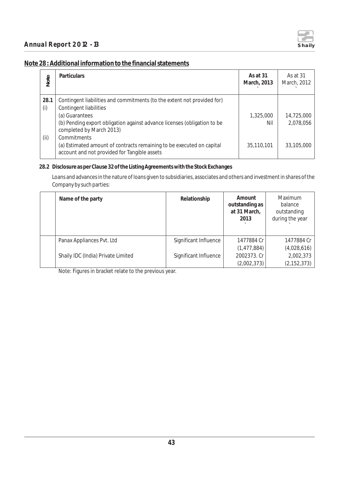

#### **Note 28 : Additional information to the financial statements**

| Note | <b>Particulars</b>                                                                                                    | As at 31<br>March, 2013 | As at 31<br>March, 2012 |
|------|-----------------------------------------------------------------------------------------------------------------------|-------------------------|-------------------------|
| 28.1 | Contingent liabilities and commitments (to the extent not provided for)                                               |                         |                         |
| (i)  | Contingent liabilities                                                                                                |                         |                         |
|      | (a) Guarantees                                                                                                        | 1,325,000               | 14,725,000              |
|      | (b) Pending export obligation against advance licenses (obligation to be<br>completed by March 2013)                  | Nil                     | 2,078,056               |
| (ii) | Commitments                                                                                                           |                         |                         |
|      | (a) Estimated amount of contracts remaining to be executed on capital<br>account and not provided for Tangible assets | 35,110,101              | 33,105,000              |

#### **28.2 Disclosure as per Clause 32 of the Listing Agreements with the Stock Exchanges**

Loans and advances in the nature of loans given to subsidiaries, associates and others and investment in shares of the Company by such parties:

| Name of the party                  | Relationship          | Amount<br>outstanding as<br>at 31 March,<br>2013 | Maximum<br>balance<br>outstanding<br>during the year |
|------------------------------------|-----------------------|--------------------------------------------------|------------------------------------------------------|
| Panax Appliances Pvt. Ltd          | Significant Influence | 1477884 Cr                                       | 1477884 Cr                                           |
|                                    |                       | (1, 477, 884)                                    | (4,028,616)                                          |
| Shaily IDC (India) Private Limited | Significant Influence | 2002373. Cr                                      | 2,002,373                                            |
|                                    |                       | (2,002,373)                                      | (2, 152, 373)                                        |

Note: Figures in bracket relate to the previous year.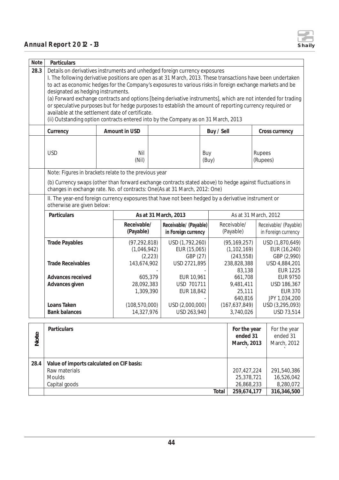

| Note | Particulars                                                                                                                                                                                                                                                                                                                                                                                                                                                                                                                                                                                                                                                                                                          |                               |                                                                                            |          |                                              |                                         |                                                |                    |                                                |
|------|----------------------------------------------------------------------------------------------------------------------------------------------------------------------------------------------------------------------------------------------------------------------------------------------------------------------------------------------------------------------------------------------------------------------------------------------------------------------------------------------------------------------------------------------------------------------------------------------------------------------------------------------------------------------------------------------------------------------|-------------------------------|--------------------------------------------------------------------------------------------|----------|----------------------------------------------|-----------------------------------------|------------------------------------------------|--------------------|------------------------------------------------|
| 28.3 | Details on derivatives instruments and unhedged foreign currency exposures<br>I. The following derivative positions are open as at 31 March, 2013. These transactions have been undertaken<br>to act as economic hedges for the Company's exposures to various risks in foreign exchange markets and be<br>designated as hedging instruments.<br>(a) Forward exchange contracts and options [being derivative instruments], which are not intended for trading<br>or speculative purposes but for hedge purposes to establish the amount of reporting currency required or<br>available at the settlement date of certificate.<br>(ii) Outstanding option contracts entered into by the Company as on 31 March, 2013 |                               |                                                                                            |          |                                              |                                         |                                                |                    |                                                |
|      | Currency                                                                                                                                                                                                                                                                                                                                                                                                                                                                                                                                                                                                                                                                                                             |                               | Amount in USD                                                                              |          |                                              | Buy / Sell                              |                                                |                    | Cross currency                                 |
|      | <b>USD</b>                                                                                                                                                                                                                                                                                                                                                                                                                                                                                                                                                                                                                                                                                                           |                               | Nil<br>(Nil)                                                                               |          |                                              | Buy<br>(Buy)                            |                                                | Rupees<br>(Rupees) |                                                |
|      | Note: Figures in brackets relate to the previous year                                                                                                                                                                                                                                                                                                                                                                                                                                                                                                                                                                                                                                                                |                               |                                                                                            |          |                                              |                                         |                                                |                    |                                                |
|      | (b) Currency swaps (other than forward exchange contracts stated above) to hedge against fluctuations in<br>changes in exchange rate. No. of contracts: One(As at 31 March, 2012: One)                                                                                                                                                                                                                                                                                                                                                                                                                                                                                                                               |                               |                                                                                            |          |                                              |                                         |                                                |                    |                                                |
|      | II. The year-end foreign currency exposures that have not been hedged by a derivative instrument or<br>otherwise are given below:                                                                                                                                                                                                                                                                                                                                                                                                                                                                                                                                                                                    |                               |                                                                                            |          |                                              |                                         |                                                |                    |                                                |
|      | Particulars                                                                                                                                                                                                                                                                                                                                                                                                                                                                                                                                                                                                                                                                                                          |                               |                                                                                            |          | As at 31 March, 2013                         |                                         | As at 31 March, 2012                           |                    |                                                |
|      |                                                                                                                                                                                                                                                                                                                                                                                                                                                                                                                                                                                                                                                                                                                      |                               | Receivable/<br>(Payable)                                                                   |          | Receivable/ (Payable)<br>in Foreign currency |                                         | Receivable/<br>(Payable)                       |                    | Receivable/ (Payable)<br>in Foreign currency   |
|      | <b>Trade Payables</b>                                                                                                                                                                                                                                                                                                                                                                                                                                                                                                                                                                                                                                                                                                | (97, 292, 818)<br>(1,046,942) |                                                                                            | (2, 223) | USD (1,792,260)<br>EUR (15,065)<br>GBP (27)  |                                         | (95, 169, 257)<br>(1, 102, 169)<br>(243, 558)  |                    | USD (1,870,649)<br>EUR (16,240)<br>GBP (2,990) |
|      | <b>Trade Receivables</b>                                                                                                                                                                                                                                                                                                                                                                                                                                                                                                                                                                                                                                                                                             |                               | 143,674,902                                                                                |          | USD 2721,895                                 | 238,828,388                             |                                                |                    | USD 4,884,201                                  |
|      | Advances received                                                                                                                                                                                                                                                                                                                                                                                                                                                                                                                                                                                                                                                                                                    |                               |                                                                                            | 605,379  | EUR 10,961                                   |                                         | 83,138<br>661,708                              |                    | <b>EUR 1225</b><br><b>EUR 9750</b>             |
|      | Advances given                                                                                                                                                                                                                                                                                                                                                                                                                                                                                                                                                                                                                                                                                                       |                               | 28,092,383                                                                                 |          | USD 701711                                   |                                         | 9,481,411<br>25,111                            |                    | USD 186,367<br><b>EUR 370</b>                  |
|      | Loans Taken<br><b>Bank balances</b>                                                                                                                                                                                                                                                                                                                                                                                                                                                                                                                                                                                                                                                                                  |                               | EUR 18,842<br>1,309,390<br>USD (2,000,000)<br>(108, 570, 000)<br>14,327,976<br>USD 263,940 |          | 640,816<br>(167, 637, 849)<br>3,740,026      |                                         | JPY 1,034,200<br>USD (3,295,093)<br>USD 73,514 |                    |                                                |
| Note | Particulars<br>For the year<br>ended 31<br>March, 2013                                                                                                                                                                                                                                                                                                                                                                                                                                                                                                                                                                                                                                                               |                               |                                                                                            |          |                                              | For the year<br>ended 31<br>March, 2012 |                                                |                    |                                                |
| 28.4 | Value of imports calculated on CIF basis:<br>Raw materials<br>207, 427, 224<br>Moulds<br>25,378,721<br>Capital goods<br>26,868,233                                                                                                                                                                                                                                                                                                                                                                                                                                                                                                                                                                                   |                               |                                                                                            |          |                                              |                                         | 291,540,386<br>16,526,042<br>8,280,072         |                    |                                                |

**Total 259,674,177 316,346,500**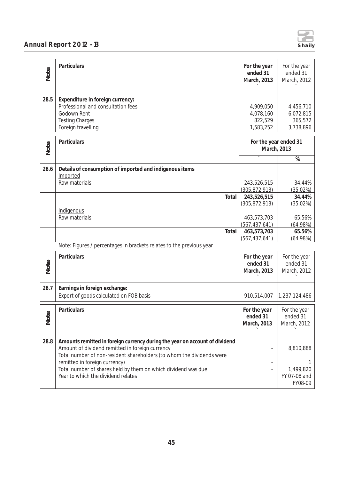

| Note | Particulars                                                                                                                                                                                                                                                                                                                                     | For the year<br>ended 31<br>March, 2013        | For the year<br>ended 31<br>March, 2012           |
|------|-------------------------------------------------------------------------------------------------------------------------------------------------------------------------------------------------------------------------------------------------------------------------------------------------------------------------------------------------|------------------------------------------------|---------------------------------------------------|
| 28.5 | Expenditure in foreign currency:<br>Professional and consultation fees<br>Godown Rent<br><b>Testing Charges</b><br>Foreign travelling                                                                                                                                                                                                           | 4,909,050<br>4,078,160<br>822,529<br>1,583,252 | 4,456,710<br>6,072,815<br>365,572<br>3,738,896    |
| Note | Particulars                                                                                                                                                                                                                                                                                                                                     | For the year ended 31<br>March, 2013           |                                                   |
|      |                                                                                                                                                                                                                                                                                                                                                 |                                                | %                                                 |
| 28.6 | Details of consumption of imported and indigenous items<br>Imported                                                                                                                                                                                                                                                                             |                                                |                                                   |
|      | Raw materials                                                                                                                                                                                                                                                                                                                                   | 243,526,515<br>(305, 872, 913)                 | 34.44%<br>(35.02%)                                |
|      | Total                                                                                                                                                                                                                                                                                                                                           | 243,526,515                                    | 34.44%                                            |
|      |                                                                                                                                                                                                                                                                                                                                                 | (305, 872, 913)                                | (35.02%)                                          |
|      | Indigenous<br>Raw materials                                                                                                                                                                                                                                                                                                                     | 463,573,703<br>(567, 437, 641)                 | 65.56%<br>(64.98%)                                |
|      | Total                                                                                                                                                                                                                                                                                                                                           | 463,573,703                                    | 65.56%                                            |
|      | Note: Figures / percentages in brackets relates to the previous year                                                                                                                                                                                                                                                                            | (567, 437, 641)                                | (64.98%)                                          |
|      |                                                                                                                                                                                                                                                                                                                                                 |                                                |                                                   |
|      | Particulars                                                                                                                                                                                                                                                                                                                                     | For the year                                   | For the year                                      |
| Note |                                                                                                                                                                                                                                                                                                                                                 | ended 31<br>March, 2013                        | ended 31<br>March, 2012                           |
|      |                                                                                                                                                                                                                                                                                                                                                 |                                                |                                                   |
| 28.7 | Earnings in foreign exchange:                                                                                                                                                                                                                                                                                                                   |                                                |                                                   |
|      | Export of goods calculated on FOB basis                                                                                                                                                                                                                                                                                                         | 910,514,007                                    | 1,237,124,486                                     |
| Note | Particulars                                                                                                                                                                                                                                                                                                                                     | For the year<br>ended 31<br>March, 2013        | For the year<br>ended 31<br>March, 2012           |
| 28.8 | Amounts remitted in foreign currency during the year on account of dividend<br>Amount of dividend remitted in foreign currency<br>Total number of non-resident shareholders (to whom the dividends were<br>remitted in foreign currency)<br>Total number of shares held by them on which dividend was due<br>Year to which the dividend relates |                                                | 8,810,888<br>1,499,820<br>FY 07-08 and<br>FY08-09 |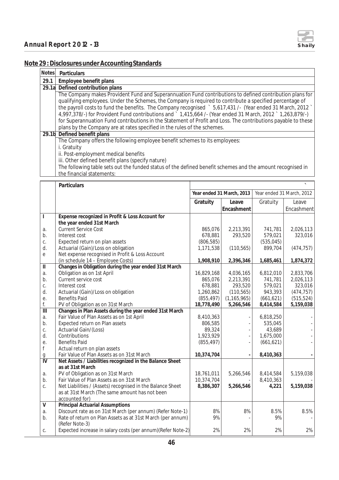

## **Note 29 : Disclosures under Accounting Standards**

| Notes | Particulars                                                                                                   |
|-------|---------------------------------------------------------------------------------------------------------------|
| 29.1  | Employee benefit plans                                                                                        |
|       | 29.1a Defined contribution plans                                                                              |
|       | The Company makes Provident Fund and Superannuation Fund contributions to defined contribution plans for      |
|       | qualifying employees. Under the Schemes, the Company is required to contribute a specified percentage of      |
|       | the payroll costs to fund the benefits. The Company recognised > 5,617,431 /- (Year ended 31 March, 2012)     |
|       | 4,997,378/-) for Provident Fund contributions and 1,415,664 /- (Year ended 31 March, 2012 1,263,879/-)        |
|       | for Superannuation Fund contributions in the Statement of Profit and Loss. The contributions payable to these |
|       | plans by the Company are at rates specified in the rules of the schemes.                                      |
|       | 29.1b Defined benefit plans                                                                                   |
|       | The Company offers the following employee benefit schemes to its employees:                                   |
|       | i. Gratuity                                                                                                   |
|       | ii. Post-employment medical benefits                                                                          |
|       | iii. Other defined benefit plans (specify nature)                                                             |
|       | The following table sets out the funded status of the defined benefit schemes and the amount recognised in    |
|       | the financial statements:                                                                                     |

|                         | Particulars                                                  |            |                           |            |                           |
|-------------------------|--------------------------------------------------------------|------------|---------------------------|------------|---------------------------|
|                         |                                                              |            | Year ended 31 March, 2013 |            | Year ended 31 March, 2012 |
|                         |                                                              | Gratuity   | Leave                     | Gratuity   | Leave                     |
|                         |                                                              |            | Encashment                |            | Encashment                |
| $\mathbf{I}$            | Expense recognized in Profit & Loss Account for              |            |                           |            |                           |
|                         | the year ended 31st March                                    |            |                           |            |                           |
| a.                      | <b>Current Service Cost</b>                                  | 865,076    | 2,213,391                 | 741,781    | 2,026,113                 |
| b.                      | Interest cost                                                | 678,881    | 293,520                   | 579,021    | 323,016                   |
| C.                      | Expected return on plan assets                               | (806, 585) |                           | (535, 045) |                           |
| d.                      | Actuarial (Gain)/Loss on obligation                          | 1,171,538  | (110, 565)                | 899,704    | (474, 757)                |
| $\mathsf{e}$            | Net expense recognised in Profit & Loss Account              |            |                           |            |                           |
|                         | (in schedule 14 - Employee Costs)                            | 1,908,910  | 2,396,346                 | 1,685,461  | 1,874,372                 |
| $\mathbf{H}$            | Changes in Obligation during the year ended 31st March       |            |                           |            |                           |
| a.                      | Obligation as on 1st April                                   | 16,829,168 | 4,036,165                 | 6,812,010  | 2,833,706                 |
| b.                      | Current service cost                                         | 865,076    | 2,213,391                 | 741,781    | 2,026,113                 |
| C.                      | Interest cost                                                | 678,881    | 293,520                   | 579,021    | 323,016                   |
| d.                      | Actuarial (Gain)/Loss on obligation                          | 1,260,862  | (110, 565)                | 943,393    | (474, 757)                |
| е.                      | <b>Benefits Paid</b>                                         | (855, 497) | (1, 165, 965)             | (661, 621) | (515, 524)                |
| f.                      | PV of Obligation as on 31st March                            | 18,778,490 | 5,266,546                 | 8,414,584  | 5,159,038                 |
| $\overline{\mathbb{H}}$ | Changes in Plan Assets during the year ended 31st March      |            |                           |            |                           |
| a.                      | Fair Value of Plan Assets as on 1st April                    | 8,410,363  |                           | 6,818,250  |                           |
| b.                      | Expected return on Plan assets                               | 806,585    |                           | 535,045    |                           |
| C.                      | Actuarial Gain/(Loss)                                        | 89,324     |                           | 43,689     |                           |
| d.                      | Contributions                                                | 1,923,929  |                           | 1,675,000  |                           |
| е.                      | <b>Benefits Paid</b>                                         | (855, 497) |                           | (661, 621) |                           |
| $\mathsf f$             | Actual return on plan assets                                 |            |                           |            |                           |
| $\mathfrak g$           | Fair Value of Plan Assets as on 31st March                   | 10,374,704 |                           | 8,410,363  |                           |
| $\bar{\bar{N}}$         | Net Assets / Liabilities recognized in the Balance Sheet     |            |                           |            |                           |
|                         | as at 31st March                                             |            |                           |            |                           |
| a.                      | PV of Obligation as on 31st March                            | 18,761,011 | 5,266,546                 | 8,414,584  | 5,159,038                 |
| b.                      | Fair Value of Plan Assets as on 31st March                   | 10,374,704 |                           | 8,410,363  |                           |
| C.                      | Net Liabilities / (Assets) recognised in the Balance Sheet   | 8,386,307  | 5,266,546                 | 4,221      | 5,159,038                 |
|                         | as at 31st March (The same amount has not been               |            |                           |            |                           |
|                         | accounted for)                                               |            |                           |            |                           |
| $\vee$                  | <b>Principal Actuarial Assumptions</b>                       |            |                           |            |                           |
| a.                      | Discount rate as on 31st March (per annum) (Refer Note-1)    | 8%         | 8%                        | 8.5%       | 8.5%                      |
| b.                      | Rate of return on Plan Assets as at 31st March (per annum)   | 9%         |                           | 9%         |                           |
|                         | (Refer Note-3)                                               |            |                           |            |                           |
| C.                      | Expected increase in salary costs (per annum) (Refer Note-2) | 2%         | 2%                        | 2%         | 2%                        |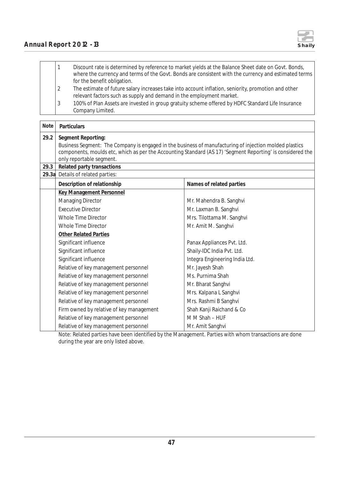

|    | Discount rate is determined by reference to market yields at the Balance Sheet date on Govt. Bonds,<br>where the currency and terms of the Govt. Bonds are consistent with the currency and estimated terms<br>for the benefit obligation. |
|----|--------------------------------------------------------------------------------------------------------------------------------------------------------------------------------------------------------------------------------------------|
|    | The estimate of future salary increases take into account inflation, seniority, promotion and other<br>relevant factors such as supply and demand in the employment market.                                                                |
| IJ | 100% of Plan Assets are invested in group gratuity scheme offered by HDFC Standard Life Insurance<br>Company Limited.                                                                                                                      |

| Note         | Particulars                                                                                                                                                                                                                                                                                          |                                |  |  |  |
|--------------|------------------------------------------------------------------------------------------------------------------------------------------------------------------------------------------------------------------------------------------------------------------------------------------------------|--------------------------------|--|--|--|
| 29.2<br>29.3 | Segment Reporting:<br>Business Segment: The Company is engaged in the business of manufacturing of injection molded plastics<br>components, moulds etc, which as per the Accounting Standard (AS 17) 'Segment Reporting' is considered the<br>only reportable segment.<br>Related party transactions |                                |  |  |  |
| 29.3a        | Details of related parties:                                                                                                                                                                                                                                                                          |                                |  |  |  |
|              | Description of relationship                                                                                                                                                                                                                                                                          | Names of related parties       |  |  |  |
|              | <b>Key Management Personnel</b>                                                                                                                                                                                                                                                                      |                                |  |  |  |
|              | Managing Director                                                                                                                                                                                                                                                                                    | Mr. Mahendra B. Sanghvi        |  |  |  |
|              | <b>Executive Director</b>                                                                                                                                                                                                                                                                            | Mr. Laxman B. Sanghvi          |  |  |  |
|              | Whole Time Director                                                                                                                                                                                                                                                                                  | Mrs. Tilottama M. Sanghvi      |  |  |  |
|              | <b>Whole Time Director</b>                                                                                                                                                                                                                                                                           | Mr. Amit M. Sanghvi            |  |  |  |
|              | <b>Other Related Parties</b>                                                                                                                                                                                                                                                                         |                                |  |  |  |
|              | Significant influence                                                                                                                                                                                                                                                                                | Panax Appliances Pvt. Ltd.     |  |  |  |
|              | Significant influence                                                                                                                                                                                                                                                                                | Shaily-IDC India Pvt. Ltd.     |  |  |  |
|              | Significant influence                                                                                                                                                                                                                                                                                | Integra Engineering India Ltd. |  |  |  |
|              | Relative of key management personnel                                                                                                                                                                                                                                                                 | Mr. Jayesh Shah                |  |  |  |
|              | Relative of key management personnel                                                                                                                                                                                                                                                                 | Ms. Purnima Shah               |  |  |  |
|              | Relative of key management personnel                                                                                                                                                                                                                                                                 | Mr. Bharat Sanghvi             |  |  |  |
|              | Relative of key management personnel                                                                                                                                                                                                                                                                 | Mrs. Kalpana L Sanghvi         |  |  |  |
|              | Relative of key management personnel                                                                                                                                                                                                                                                                 | Mrs. Rashmi B Sanghvi          |  |  |  |
|              | Firm owned by relative of key management                                                                                                                                                                                                                                                             | Shah Kanji Raichand & Co       |  |  |  |
|              | Relative of key management personnel                                                                                                                                                                                                                                                                 | M M Shah - HUF                 |  |  |  |
|              | Relative of key management personnel                                                                                                                                                                                                                                                                 | Mr. Amit Sanghvi               |  |  |  |

Note: Related parties have been identified by the Management. Parties with whom transactions are done during the year are only listed above.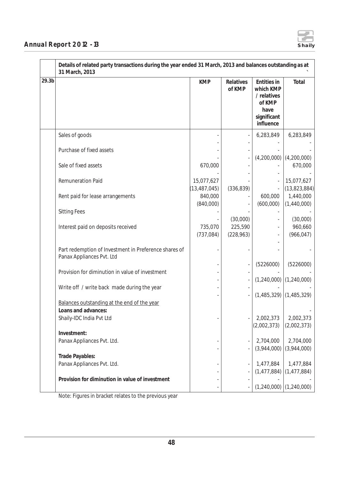

| 29.3 <sub>b</sub> |                                                                                    | <b>KMP</b>                   | Relatives             | Entities in                                               | Total                       |
|-------------------|------------------------------------------------------------------------------------|------------------------------|-----------------------|-----------------------------------------------------------|-----------------------------|
|                   |                                                                                    |                              | of KMP                | which KMP<br>/ relatives<br>of KMP<br>have<br>significant |                             |
|                   |                                                                                    |                              |                       | influence                                                 |                             |
|                   | Sales of goods                                                                     |                              |                       | 6,283,849                                                 | 6,283,849                   |
|                   | Purchase of fixed assets                                                           |                              |                       |                                                           | $(4,200,000)$ $(4,200,000)$ |
|                   | Sale of fixed assets                                                               | 670,000                      |                       |                                                           | 670,000                     |
|                   | <b>Remuneration Paid</b>                                                           | 15,077,627<br>(13, 487, 045) | (336, 839)            |                                                           | 15,077,627<br>(13,823,884)  |
|                   | Rent paid for lease arrangements                                                   | 840,000<br>(840,000)         |                       | 600,000<br>(600,000)                                      | 1,440,000<br>(1,440,000)    |
|                   | <b>Sitting Fees</b>                                                                |                              | (30,000)              |                                                           | (30,000)                    |
|                   | Interest paid on deposits received                                                 | 735,070<br>(737, 084)        | 225,590<br>(228, 963) |                                                           | 960,660<br>(966, 047)       |
|                   | Part redemption of Investment in Preference shares of<br>Panax Appliances Pvt. Ltd |                              |                       |                                                           |                             |
|                   | Provision for diminution in value of investment                                    |                              |                       | (5226000)                                                 | (5226000)                   |
|                   | Write off / write back made during the year                                        |                              |                       |                                                           | $(1,240,000)$ $(1,240,000)$ |
|                   | Balances outstanding at the end of the year                                        |                              |                       |                                                           | $(1,485,329)$ $(1,485,329)$ |
|                   | Loans and advances:<br>Shaily-IDC India Pvt Ltd                                    |                              |                       | 2,002,373<br>(2,002,373)                                  | 2,002,373<br>(2,002,373)    |
|                   | Investment:                                                                        |                              |                       |                                                           |                             |
|                   | Panax Appliances Pvt. Ltd.                                                         |                              |                       | 2,704,000<br>(3,944,000)                                  | 2,704,000<br>(3,944,000)    |
|                   | Trade Payables:<br>Panax Appliances Pvt. Ltd.                                      |                              |                       | 1,477,884                                                 | 1,477,884                   |
|                   | Provision for diminution in value of investment                                    |                              |                       |                                                           | $(1,477,884)$ (1,477,884)   |
|                   |                                                                                    |                              |                       |                                                           | $(1,240,000)$ $(1,240,000)$ |

Note: Figures in bracket relates to the previous year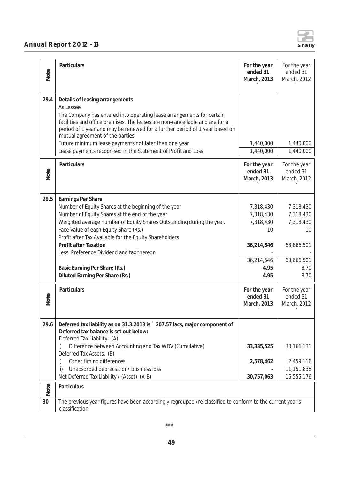

| Note | Particulars                                                                                                                                                                                                                                                                                                                                                                                                                                               | For the year<br>ended 31<br>March, 2013                                               | For the year<br>ended 31<br>March, 2012                                               |  |
|------|-----------------------------------------------------------------------------------------------------------------------------------------------------------------------------------------------------------------------------------------------------------------------------------------------------------------------------------------------------------------------------------------------------------------------------------------------------------|---------------------------------------------------------------------------------------|---------------------------------------------------------------------------------------|--|
| 29.4 | Details of leasing arrangements<br>As Lessee<br>The Company has entered into operating lease arrangements for certain<br>facilities and office premises. The leases are non-cancellable and are for a<br>period of 1 year and may be renewed for a further period of 1 year based on<br>mutual agreement of the parties.<br>Future minimum lease payments not later than one year<br>Lease payments recognised in the Statement of Profit and Loss        | 1,440,000<br>1,440,000                                                                | 1,440,000<br>1,440,000                                                                |  |
| Note | Particulars                                                                                                                                                                                                                                                                                                                                                                                                                                               | For the year<br>ended 31<br>March, 2013                                               | For the year<br>ended 31<br>March, 2012                                               |  |
| 29.5 | Earnings Per Share<br>Number of Equity Shares at the beginning of the year<br>Number of Equity Shares at the end of the year<br>Weighted average number of Equity Shares Outstanding during the year.<br>Face Value of each Equity Share (Rs.)<br>Profit after Tax Available for the Equity Shareholders<br><b>Profit after Taxation</b><br>Less: Preference Dividend and tax thereon<br>Basic Earning Per Share (Rs.)<br>Diluted Earning Per Share (Rs.) | 7,318,430<br>7,318,430<br>7,318,430<br>10<br>36,214,546<br>36,214,546<br>4.95<br>4.95 | 7,318,430<br>7,318,430<br>7,318,430<br>10<br>63,666,501<br>63,666,501<br>8.70<br>8.70 |  |
| Note | Particulars                                                                                                                                                                                                                                                                                                                                                                                                                                               | For the year<br>ended 31<br>March, 2013                                               | For the year<br>ended 31<br>March, 2012                                               |  |
| 29.6 | Deferred tax liability as on 31.3.2013 is ` 207.57 lacs, major component of<br>Deferred tax balance is set out below:<br>Deferred Tax Liability: (A)<br>Difference between Accounting and Tax WDV (Cumulative)<br>i)<br>Deferred Tax Assets: (B)<br>Other timing differences<br>i)<br>Unabsorbed depreciation/ business loss<br>ii)<br>Net Deferred Tax Liability / (Asset) (A-B)                                                                         | 33, 335, 525<br>2,578,462<br>30,757,063                                               | 30,166,131<br>2,459,116<br>11,151,838<br>16,555,176                                   |  |
| Note | Particulars                                                                                                                                                                                                                                                                                                                                                                                                                                               |                                                                                       |                                                                                       |  |
| 30   | The previous year figures have been accordingly regrouped /re-classified to conform to the current year's<br>classification.                                                                                                                                                                                                                                                                                                                              |                                                                                       |                                                                                       |  |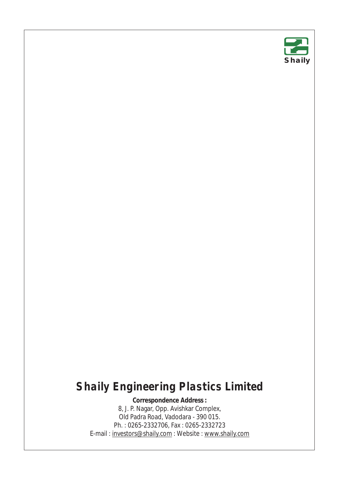

## **Shaily Engineering Plastics Limited**

**Correspondence Address :**  8, J. P. Nagar, Opp. Avishkar Complex, Old Padra Road, Vadodara - 390 015. Ph. : 0265-2332706, Fax : 0265-2332723 E-mail : investors@shaily.com : Website : www.shaily.com